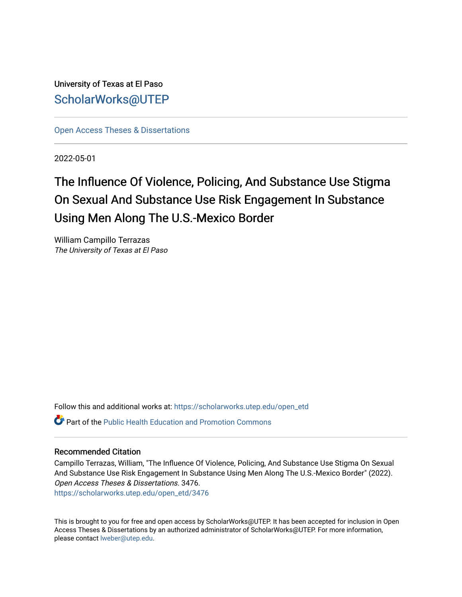University of Texas at El Paso [ScholarWorks@UTEP](https://scholarworks.utep.edu/)

[Open Access Theses & Dissertations](https://scholarworks.utep.edu/open_etd) 

2022-05-01

# The Influence Of Violence, Policing, And Substance Use Stigma On Sexual And Substance Use Risk Engagement In Substance Using Men Along The U.S.-Mexico Border

William Campillo Terrazas The University of Texas at El Paso

Follow this and additional works at: [https://scholarworks.utep.edu/open\\_etd](https://scholarworks.utep.edu/open_etd?utm_source=scholarworks.utep.edu%2Fopen_etd%2F3476&utm_medium=PDF&utm_campaign=PDFCoverPages)

 $\bullet$  Part of the Public Health Education and Promotion Commons

#### Recommended Citation

Campillo Terrazas, William, "The Influence Of Violence, Policing, And Substance Use Stigma On Sexual And Substance Use Risk Engagement In Substance Using Men Along The U.S.-Mexico Border" (2022). Open Access Theses & Dissertations. 3476. [https://scholarworks.utep.edu/open\\_etd/3476](https://scholarworks.utep.edu/open_etd/3476?utm_source=scholarworks.utep.edu%2Fopen_etd%2F3476&utm_medium=PDF&utm_campaign=PDFCoverPages) 

This is brought to you for free and open access by ScholarWorks@UTEP. It has been accepted for inclusion in Open Access Theses & Dissertations by an authorized administrator of ScholarWorks@UTEP. For more information, please contact [lweber@utep.edu.](mailto:lweber@utep.edu)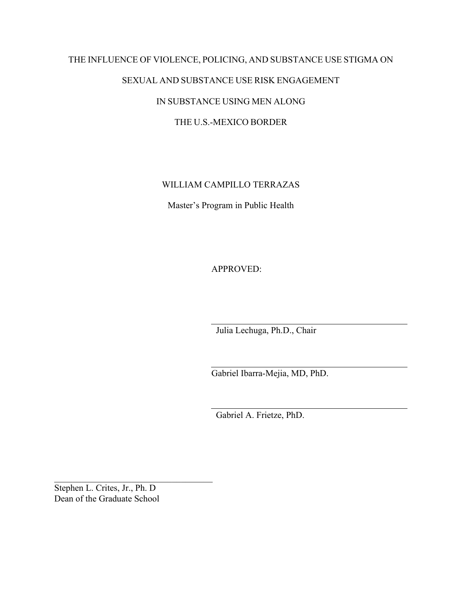# THE INFLUENCE OF VIOLENCE, POLICING, AND SUBSTANCE USE STIGMA ON SEXUAL AND SUBSTANCE USE RISK ENGAGEMENT IN SUBSTANCE USING MEN ALONG THE U.S.-MEXICO BORDER

WILLIAM CAMPILLO TERRAZAS

Master's Program in Public Health

APPROVED:

Julia Lechuga, Ph.D., Chair

Gabriel Ibarra-Mejia, MD, PhD.

Gabriel A. Frietze, PhD.

Stephen L. Crites, Jr., Ph. D Dean of the Graduate School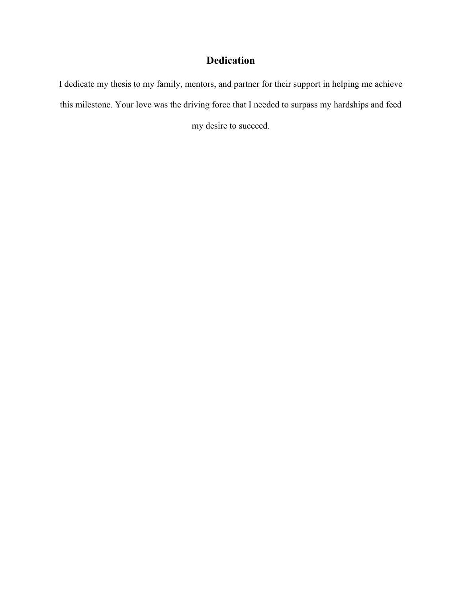# **Dedication**

I dedicate my thesis to my family, mentors, and partner for their support in helping me achieve this milestone. Your love was the driving force that I needed to surpass my hardships and feed my desire to succeed.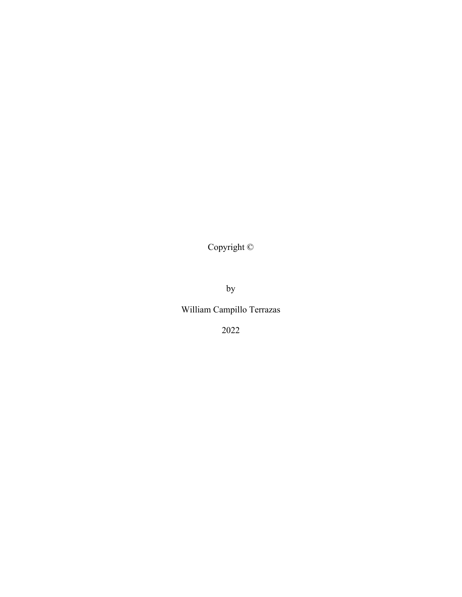Copyright ©

by

William Campillo Terrazas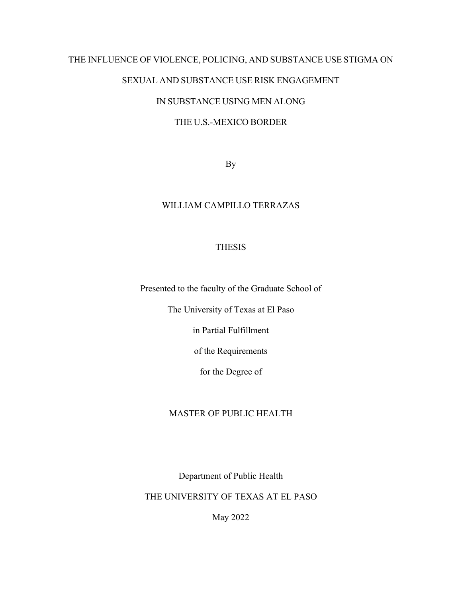## THE INFLUENCE OF VIOLENCE, POLICING, AND SUBSTANCE USE STIGMA ON

# SEXUAL AND SUBSTANCE USE RISK ENGAGEMENT

# IN SUBSTANCE USING MEN ALONG

### THE U.S.-MEXICO BORDER

By

### WILLIAM CAMPILLO TERRAZAS

### THESIS

Presented to the faculty of the Graduate School of

The University of Texas at El Paso

in Partial Fulfillment

of the Requirements

for the Degree of

#### MASTER OF PUBLIC HEALTH

Department of Public Health

THE UNIVERSITY OF TEXAS AT EL PASO

May 2022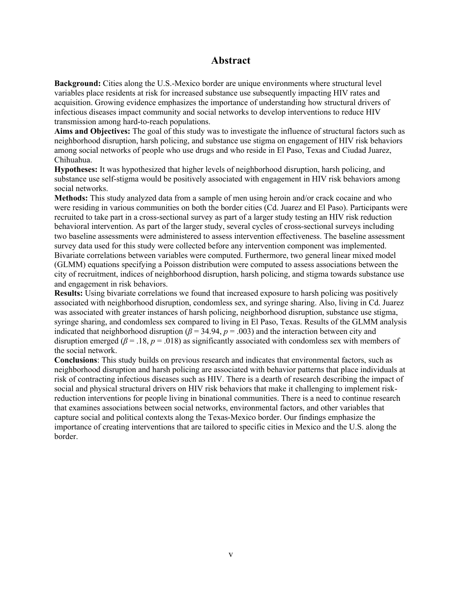### **Abstract**

**Background:** Cities along the U.S.-Mexico border are unique environments where structural level variables place residents at risk for increased substance use subsequently impacting HIV rates and acquisition. Growing evidence emphasizes the importance of understanding how structural drivers of infectious diseases impact community and social networks to develop interventions to reduce HIV transmission among hard-to-reach populations.

**Aims and Objectives:** The goal of this study was to investigate the influence of structural factors such as neighborhood disruption, harsh policing, and substance use stigma on engagement of HIV risk behaviors among social networks of people who use drugs and who reside in El Paso, Texas and Ciudad Juarez, Chihuahua.

**Hypotheses:** It was hypothesized that higher levels of neighborhood disruption, harsh policing, and substance use self-stigma would be positively associated with engagement in HIV risk behaviors among social networks.

**Methods:** This study analyzed data from a sample of men using heroin and/or crack cocaine and who were residing in various communities on both the border cities (Cd. Juarez and El Paso). Participants were recruited to take part in a cross-sectional survey as part of a larger study testing an HIV risk reduction behavioral intervention. As part of the larger study, several cycles of cross-sectional surveys including two baseline assessments were administered to assess intervention effectiveness. The baseline assessment survey data used for this study were collected before any intervention component was implemented. Bivariate correlations between variables were computed. Furthermore, two general linear mixed model (GLMM) equations specifying a Poisson distribution were computed to assess associations between the city of recruitment, indices of neighborhood disruption, harsh policing, and stigma towards substance use and engagement in risk behaviors.

**Results:** Using bivariate correlations we found that increased exposure to harsh policing was positively associated with neighborhood disruption, condomless sex, and syringe sharing. Also, living in Cd. Juarez was associated with greater instances of harsh policing, neighborhood disruption, substance use stigma, syringe sharing, and condomless sex compared to living in El Paso, Texas. Results of the GLMM analysis indicated that neighborhood disruption ( $\beta$  = 34.94,  $p$  = .003) and the interaction between city and disruption emerged ( $\beta$  = .18,  $p$  = .018) as significantly associated with condomless sex with members of the social network.

**Conclusions**: This study builds on previous research and indicates that environmental factors, such as neighborhood disruption and harsh policing are associated with behavior patterns that place individuals at risk of contracting infectious diseases such as HIV. There is a dearth of research describing the impact of social and physical structural drivers on HIV risk behaviors that make it challenging to implement riskreduction interventions for people living in binational communities. There is a need to continue research that examines associations between social networks, environmental factors, and other variables that capture social and political contexts along the Texas-Mexico border. Our findings emphasize the importance of creating interventions that are tailored to specific cities in Mexico and the U.S. along the border.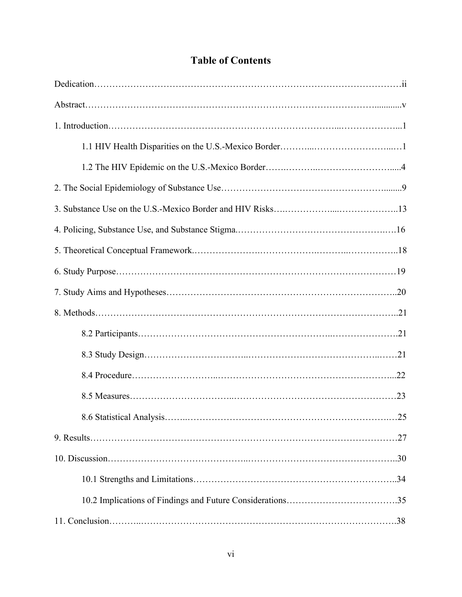# **Table of Contents**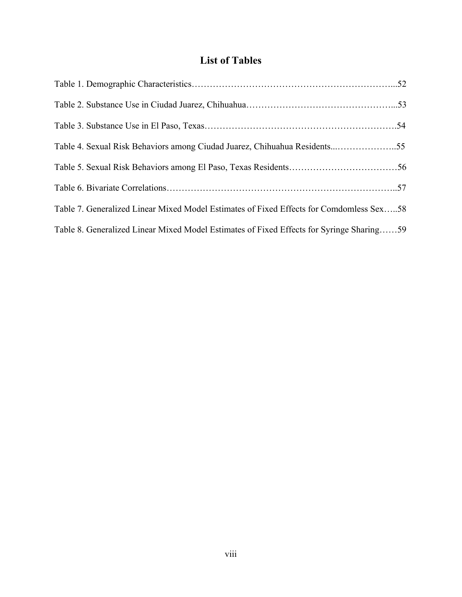# **List of Tables**

| Table 4. Sexual Risk Behaviors among Ciudad Juarez, Chihuahua Residents55                |  |
|------------------------------------------------------------------------------------------|--|
|                                                                                          |  |
|                                                                                          |  |
| Table 7. Generalized Linear Mixed Model Estimates of Fixed Effects for Comdomless Sex58  |  |
| Table 8. Generalized Linear Mixed Model Estimates of Fixed Effects for Syringe Sharing59 |  |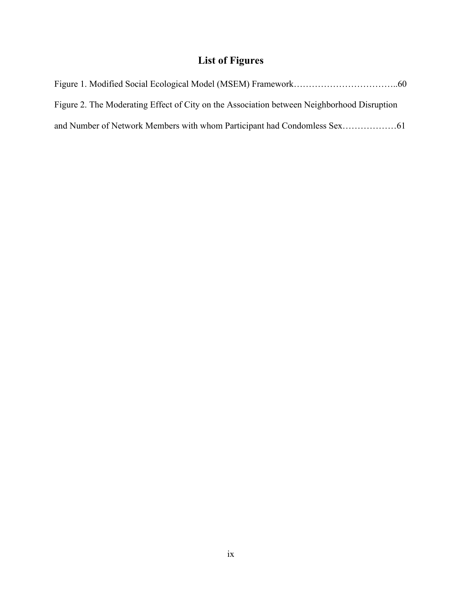# **List of Figures**

| Figure 2. The Moderating Effect of City on the Association between Neighborhood Disruption |  |
|--------------------------------------------------------------------------------------------|--|
|                                                                                            |  |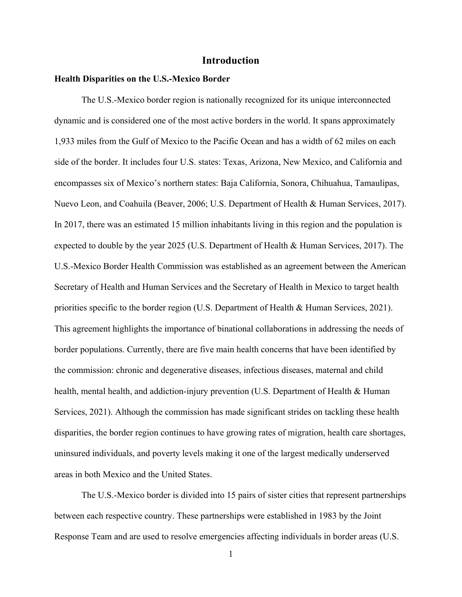### **Introduction**

#### **Health Disparities on the U.S.-Mexico Border**

 The U.S.-Mexico border region is nationally recognized for its unique interconnected dynamic and is considered one of the most active borders in the world. It spans approximately 1,933 miles from the Gulf of Mexico to the Pacific Ocean and has a width of 62 miles on each side of the border. It includes four U.S. states: Texas, Arizona, New Mexico, and California and encompasses six of Mexico's northern states: Baja California, Sonora, Chihuahua, Tamaulipas, Nuevo Leon, and Coahuila (Beaver, 2006; U.S. Department of Health & Human Services, 2017). In 2017, there was an estimated 15 million inhabitants living in this region and the population is expected to double by the year 2025 (U.S. Department of Health & Human Services, 2017). The U.S.-Mexico Border Health Commission was established as an agreement between the American Secretary of Health and Human Services and the Secretary of Health in Mexico to target health priorities specific to the border region (U.S. Department of Health & Human Services, 2021). This agreement highlights the importance of binational collaborations in addressing the needs of border populations. Currently, there are five main health concerns that have been identified by the commission: chronic and degenerative diseases, infectious diseases, maternal and child health, mental health, and addiction-injury prevention (U.S. Department of Health & Human Services, 2021). Although the commission has made significant strides on tackling these health disparities, the border region continues to have growing rates of migration, health care shortages, uninsured individuals, and poverty levels making it one of the largest medically underserved areas in both Mexico and the United States.

The U.S.-Mexico border is divided into 15 pairs of sister cities that represent partnerships between each respective country. These partnerships were established in 1983 by the Joint Response Team and are used to resolve emergencies affecting individuals in border areas (U.S.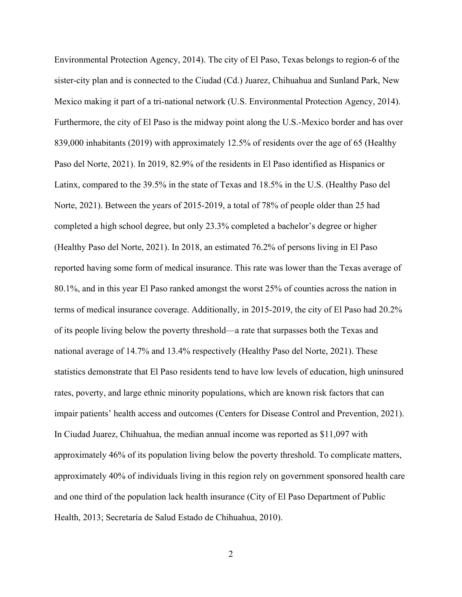Environmental Protection Agency, 2014). The city of El Paso, Texas belongs to region-6 of the sister-city plan and is connected to the Ciudad (Cd.) Juarez, Chihuahua and Sunland Park, New Mexico making it part of a tri-national network (U.S. Environmental Protection Agency, 2014). Furthermore, the city of El Paso is the midway point along the U.S.-Mexico border and has over 839,000 inhabitants (2019) with approximately 12.5% of residents over the age of 65 (Healthy Paso del Norte, 2021). In 2019, 82.9% of the residents in El Paso identified as Hispanics or Latinx, compared to the 39.5% in the state of Texas and 18.5% in the U.S. (Healthy Paso del Norte, 2021). Between the years of 2015-2019, a total of 78% of people older than 25 had completed a high school degree, but only 23.3% completed a bachelor's degree or higher (Healthy Paso del Norte, 2021). In 2018, an estimated 76.2% of persons living in El Paso reported having some form of medical insurance. This rate was lower than the Texas average of 80.1%, and in this year El Paso ranked amongst the worst 25% of counties across the nation in terms of medical insurance coverage. Additionally, in 2015-2019, the city of El Paso had 20.2% of its people living below the poverty threshold—a rate that surpasses both the Texas and national average of 14.7% and 13.4% respectively (Healthy Paso del Norte, 2021). These statistics demonstrate that El Paso residents tend to have low levels of education, high uninsured rates, poverty, and large ethnic minority populations, which are known risk factors that can impair patients' health access and outcomes (Centers for Disease Control and Prevention, 2021). In Ciudad Juarez, Chihuahua, the median annual income was reported as \$11,097 with approximately 46% of its population living below the poverty threshold. To complicate matters, approximately 40% of individuals living in this region rely on government sponsored health care and one third of the population lack health insurance (City of El Paso Department of Public Health, 2013; Secretaría de Salud Estado de Chihuahua, 2010).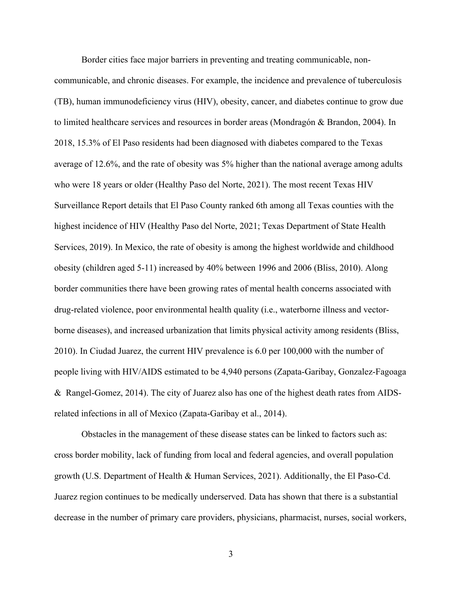Border cities face major barriers in preventing and treating communicable, noncommunicable, and chronic diseases. For example, the incidence and prevalence of tuberculosis (TB), human immunodeficiency virus (HIV), obesity, cancer, and diabetes continue to grow due to limited healthcare services and resources in border areas (Mondragón & Brandon, 2004). In 2018, 15.3% of El Paso residents had been diagnosed with diabetes compared to the Texas average of 12.6%, and the rate of obesity was 5% higher than the national average among adults who were 18 years or older (Healthy Paso del Norte, 2021). The most recent Texas HIV Surveillance Report details that El Paso County ranked 6th among all Texas counties with the highest incidence of HIV (Healthy Paso del Norte, 2021; Texas Department of State Health Services, 2019). In Mexico, the rate of obesity is among the highest worldwide and childhood obesity (children aged 5-11) increased by 40% between 1996 and 2006 (Bliss, 2010). Along border communities there have been growing rates of mental health concerns associated with drug-related violence, poor environmental health quality (i.e., waterborne illness and vectorborne diseases), and increased urbanization that limits physical activity among residents (Bliss, 2010). In Ciudad Juarez, the current HIV prevalence is 6.0 per 100,000 with the number of people living with HIV/AIDS estimated to be 4,940 persons (Zapata-Garibay, Gonzalez-Fagoaga & Rangel-Gomez, 2014). The city of Juarez also has one of the highest death rates from AIDSrelated infections in all of Mexico (Zapata-Garibay et al., 2014).

Obstacles in the management of these disease states can be linked to factors such as: cross border mobility, lack of funding from local and federal agencies, and overall population growth (U.S. Department of Health & Human Services, 2021). Additionally, the El Paso-Cd. Juarez region continues to be medically underserved. Data has shown that there is a substantial decrease in the number of primary care providers, physicians, pharmacist, nurses, social workers,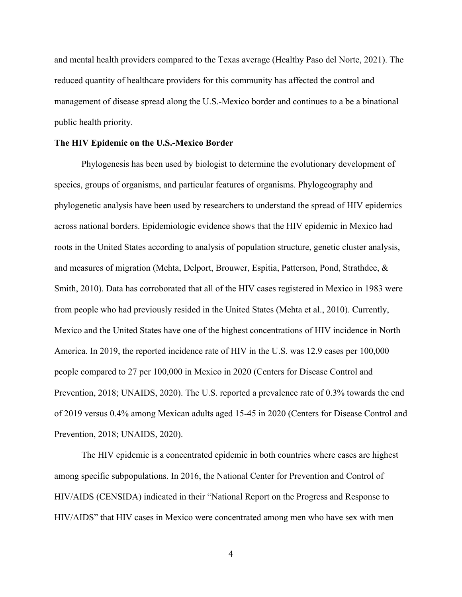and mental health providers compared to the Texas average (Healthy Paso del Norte, 2021). The reduced quantity of healthcare providers for this community has affected the control and management of disease spread along the U.S.-Mexico border and continues to a be a binational public health priority.

#### **The HIV Epidemic on the U.S.-Mexico Border**

Phylogenesis has been used by biologist to determine the evolutionary development of species, groups of organisms, and particular features of organisms. Phylogeography and phylogenetic analysis have been used by researchers to understand the spread of HIV epidemics across national borders. Epidemiologic evidence shows that the HIV epidemic in Mexico had roots in the United States according to analysis of population structure, genetic cluster analysis, and measures of migration (Mehta, Delport, Brouwer, Espitia, Patterson, Pond, Strathdee, & Smith, 2010). Data has corroborated that all of the HIV cases registered in Mexico in 1983 were from people who had previously resided in the United States (Mehta et al., 2010). Currently, Mexico and the United States have one of the highest concentrations of HIV incidence in North America. In 2019, the reported incidence rate of HIV in the U.S. was 12.9 cases per 100,000 people compared to 27 per 100,000 in Mexico in 2020 (Centers for Disease Control and Prevention, 2018; UNAIDS, 2020). The U.S. reported a prevalence rate of 0.3% towards the end of 2019 versus 0.4% among Mexican adults aged 15-45 in 2020 (Centers for Disease Control and Prevention, 2018; UNAIDS, 2020).

The HIV epidemic is a concentrated epidemic in both countries where cases are highest among specific subpopulations. In 2016, the National Center for Prevention and Control of HIV/AIDS (CENSIDA) indicated in their "National Report on the Progress and Response to HIV/AIDS" that HIV cases in Mexico were concentrated among men who have sex with men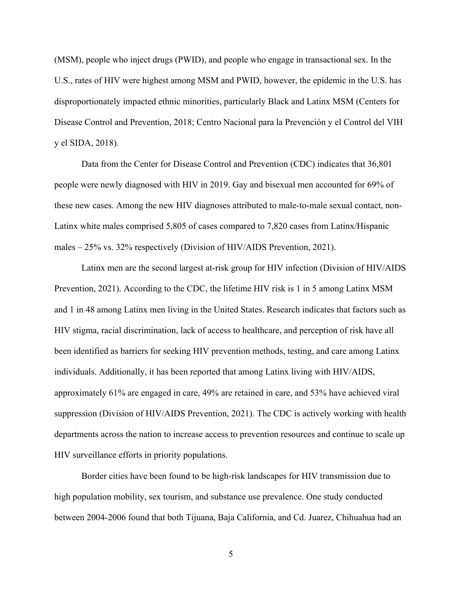(MSM), people who inject drugs (PWID), and people who engage in transactional sex. In the U.S., rates of HIV were highest among MSM and PWID, however, the epidemic in the U.S. has disproportionately impacted ethnic minorities, particularly Black and Latinx MSM (Centers for Disease Control and Prevention, 2018; Centro Nacional para la Prevención y el Control del VIH y el SIDA, 2018).

Data from the Center for Disease Control and Prevention (CDC) indicates that 36,801 people were newly diagnosed with HIV in 2019. Gay and bisexual men accounted for 69% of these new cases. Among the new HIV diagnoses attributed to male-to-male sexual contact, non-Latinx white males comprised 5,805 of cases compared to 7,820 cases from Latinx/Hispanic males – 25% vs. 32% respectively (Division of HIV/AIDS Prevention, 2021).

Latinx men are the second largest at-risk group for HIV infection (Division of HIV/AIDS Prevention, 2021). According to the CDC, the lifetime HIV risk is 1 in 5 among Latinx MSM and 1 in 48 among Latinx men living in the United States. Research indicates that factors such as HIV stigma, racial discrimination, lack of access to healthcare, and perception of risk have all been identified as barriers for seeking HIV prevention methods, testing, and care among Latinx individuals. Additionally, it has been reported that among Latinx living with HIV/AIDS, approximately 61% are engaged in care, 49% are retained in care, and 53% have achieved viral suppression (Division of HIV/AIDS Prevention, 2021). The CDC is actively working with health departments across the nation to increase access to prevention resources and continue to scale up HIV surveillance efforts in priority populations.

Border cities have been found to be high-risk landscapes for HIV transmission due to high population mobility, sex tourism, and substance use prevalence. One study conducted between 2004-2006 found that both Tijuana, Baja California, and Cd. Juarez, Chihuahua had an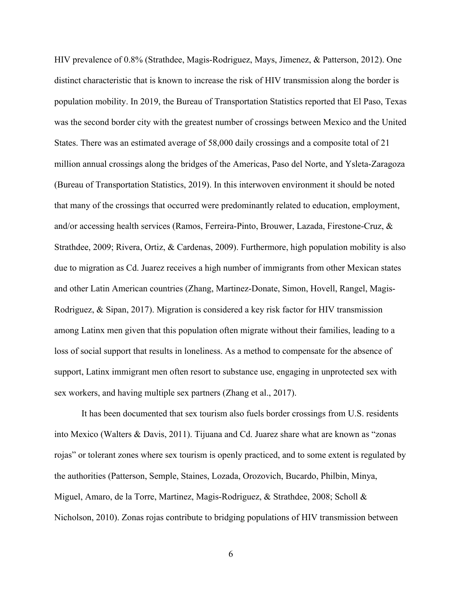HIV prevalence of 0.8% (Strathdee, Magis-Rodriguez, Mays, Jimenez, & Patterson, 2012). One distinct characteristic that is known to increase the risk of HIV transmission along the border is population mobility. In 2019, the Bureau of Transportation Statistics reported that El Paso, Texas was the second border city with the greatest number of crossings between Mexico and the United States. There was an estimated average of 58,000 daily crossings and a composite total of 21 million annual crossings along the bridges of the Americas, Paso del Norte, and Ysleta-Zaragoza (Bureau of Transportation Statistics, 2019). In this interwoven environment it should be noted that many of the crossings that occurred were predominantly related to education, employment, and/or accessing health services (Ramos, Ferreira-Pinto, Brouwer, Lazada, Firestone-Cruz, & Strathdee, 2009; Rivera, Ortiz, & Cardenas, 2009). Furthermore, high population mobility is also due to migration as Cd. Juarez receives a high number of immigrants from other Mexican states and other Latin American countries (Zhang, Martinez-Donate, Simon, Hovell, Rangel, Magis-Rodriguez, & Sipan, 2017). Migration is considered a key risk factor for HIV transmission among Latinx men given that this population often migrate without their families, leading to a loss of social support that results in loneliness. As a method to compensate for the absence of support, Latinx immigrant men often resort to substance use, engaging in unprotected sex with sex workers, and having multiple sex partners (Zhang et al., 2017).

It has been documented that sex tourism also fuels border crossings from U.S. residents into Mexico (Walters & Davis, 2011). Tijuana and Cd. Juarez share what are known as "zonas rojas" or tolerant zones where sex tourism is openly practiced, and to some extent is regulated by the authorities (Patterson, Semple, Staines, Lozada, Orozovich, Bucardo, Philbin, Minya, Miguel, Amaro, de la Torre, Martinez, Magis-Rodriguez, & Strathdee, 2008; Scholl & Nicholson, 2010). Zonas rojas contribute to bridging populations of HIV transmission between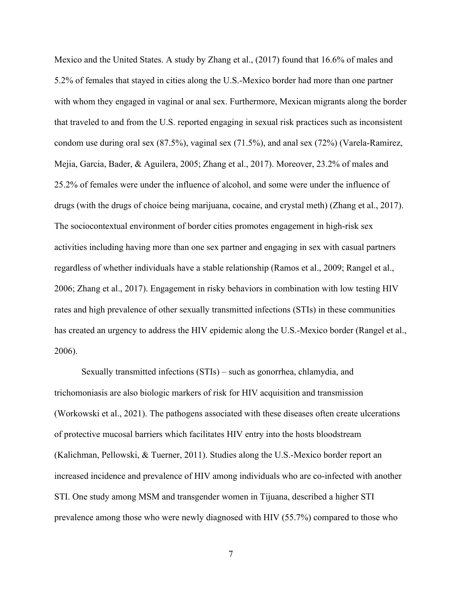Mexico and the United States. A study by Zhang et al., (2017) found that 16.6% of males and 5.2% of females that stayed in cities along the U.S.-Mexico border had more than one partner with whom they engaged in vaginal or anal sex. Furthermore, Mexican migrants along the border that traveled to and from the U.S. reported engaging in sexual risk practices such as inconsistent condom use during oral sex (87.5%), vaginal sex (71.5%), and anal sex (72%) (Varela-Ramirez, Mejia, Garcia, Bader, & Aguilera, 2005; Zhang et al., 2017). Moreover, 23.2% of males and 25.2% of females were under the influence of alcohol, and some were under the influence of drugs (with the drugs of choice being marijuana, cocaine, and crystal meth) (Zhang et al., 2017). The sociocontextual environment of border cities promotes engagement in high-risk sex activities including having more than one sex partner and engaging in sex with casual partners regardless of whether individuals have a stable relationship (Ramos et al., 2009; Rangel et al., 2006; Zhang et al., 2017). Engagement in risky behaviors in combination with low testing HIV rates and high prevalence of other sexually transmitted infections (STIs) in these communities has created an urgency to address the HIV epidemic along the U.S.-Mexico border (Rangel et al., 2006).

Sexually transmitted infections (STIs) – such as gonorrhea, chlamydia, and trichomoniasis are also biologic markers of risk for HIV acquisition and transmission (Workowski et al., 2021). The pathogens associated with these diseases often create ulcerations of protective mucosal barriers which facilitates HIV entry into the hosts bloodstream (Kalichman, Pellowski, & Tuerner, 2011). Studies along the U.S.-Mexico border report an increased incidence and prevalence of HIV among individuals who are co-infected with another STI. One study among MSM and transgender women in Tijuana, described a higher STI prevalence among those who were newly diagnosed with HIV (55.7%) compared to those who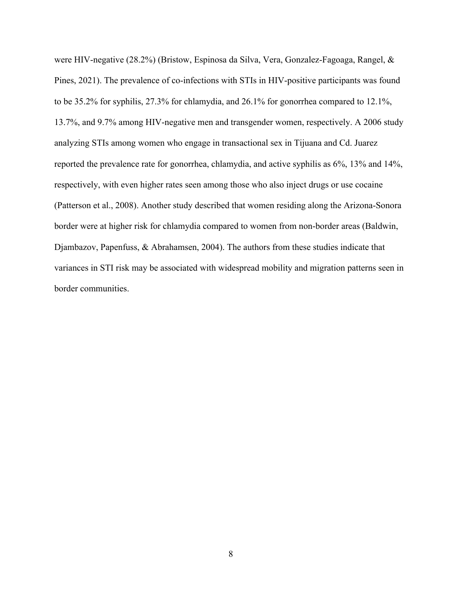were HIV-negative (28.2%) (Bristow, Espinosa da Silva, Vera, Gonzalez-Fagoaga, Rangel, & Pines, 2021). The prevalence of co-infections with STIs in HIV-positive participants was found to be 35.2% for syphilis, 27.3% for chlamydia, and 26.1% for gonorrhea compared to 12.1%, 13.7%, and 9.7% among HIV-negative men and transgender women, respectively. A 2006 study analyzing STIs among women who engage in transactional sex in Tijuana and Cd. Juarez reported the prevalence rate for gonorrhea, chlamydia, and active syphilis as 6%, 13% and 14%, respectively, with even higher rates seen among those who also inject drugs or use cocaine (Patterson et al., 2008). Another study described that women residing along the Arizona-Sonora border were at higher risk for chlamydia compared to women from non-border areas (Baldwin, Djambazov, Papenfuss, & Abrahamsen, 2004). The authors from these studies indicate that variances in STI risk may be associated with widespread mobility and migration patterns seen in border communities.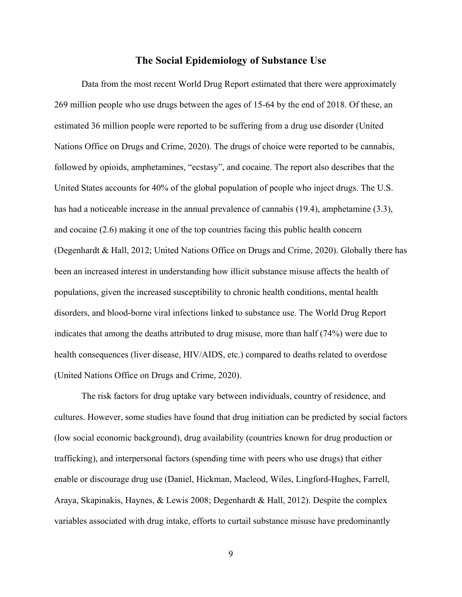#### **The Social Epidemiology of Substance Use**

Data from the most recent World Drug Report estimated that there were approximately 269 million people who use drugs between the ages of 15-64 by the end of 2018. Of these, an estimated 36 million people were reported to be suffering from a drug use disorder (United Nations Office on Drugs and Crime, 2020). The drugs of choice were reported to be cannabis, followed by opioids, amphetamines, "ecstasy", and cocaine. The report also describes that the United States accounts for 40% of the global population of people who inject drugs. The U.S. has had a noticeable increase in the annual prevalence of cannabis (19.4), amphetamine (3.3), and cocaine (2.6) making it one of the top countries facing this public health concern (Degenhardt & Hall, 2012; United Nations Office on Drugs and Crime, 2020). Globally there has been an increased interest in understanding how illicit substance misuse affects the health of populations, given the increased susceptibility to chronic health conditions, mental health disorders, and blood-borne viral infections linked to substance use. The World Drug Report indicates that among the deaths attributed to drug misuse, more than half (74%) were due to health consequences (liver disease, HIV/AIDS, etc.) compared to deaths related to overdose (United Nations Office on Drugs and Crime, 2020).

The risk factors for drug uptake vary between individuals, country of residence, and cultures. However, some studies have found that drug initiation can be predicted by social factors (low social economic background), drug availability (countries known for drug production or trafficking), and interpersonal factors (spending time with peers who use drugs) that either enable or discourage drug use (Daniel, Hickman, Macleod, Wiles, Lingford-Hughes, Farrell, Araya, Skapinakis, Haynes, & Lewis 2008; Degenhardt & Hall, 2012). Despite the complex variables associated with drug intake, efforts to curtail substance misuse have predominantly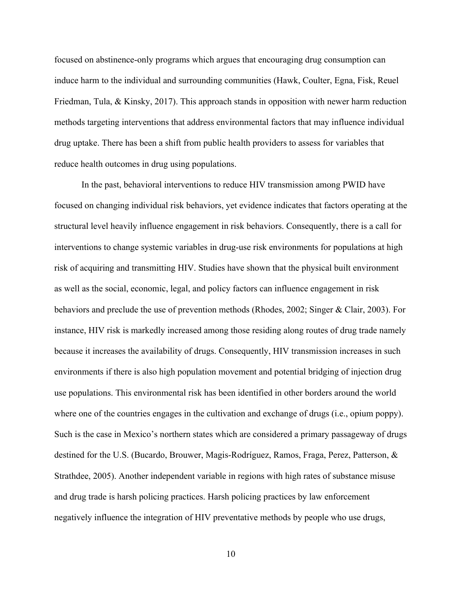focused on abstinence-only programs which argues that encouraging drug consumption can induce harm to the individual and surrounding communities (Hawk, Coulter, Egna, Fisk, Reuel Friedman, Tula, & Kinsky, 2017). This approach stands in opposition with newer harm reduction methods targeting interventions that address environmental factors that may influence individual drug uptake. There has been a shift from public health providers to assess for variables that reduce health outcomes in drug using populations.

In the past, behavioral interventions to reduce HIV transmission among PWID have focused on changing individual risk behaviors, yet evidence indicates that factors operating at the structural level heavily influence engagement in risk behaviors. Consequently, there is a call for interventions to change systemic variables in drug-use risk environments for populations at high risk of acquiring and transmitting HIV. Studies have shown that the physical built environment as well as the social, economic, legal, and policy factors can influence engagement in risk behaviors and preclude the use of prevention methods (Rhodes, 2002; Singer & Clair, 2003). For instance, HIV risk is markedly increased among those residing along routes of drug trade namely because it increases the availability of drugs. Consequently, HIV transmission increases in such environments if there is also high population movement and potential bridging of injection drug use populations. This environmental risk has been identified in other borders around the world where one of the countries engages in the cultivation and exchange of drugs (i.e., opium poppy). Such is the case in Mexico's northern states which are considered a primary passageway of drugs destined for the U.S. (Bucardo, Brouwer, Magis-Rodríguez, Ramos, Fraga, Perez, Patterson, & Strathdee, 2005). Another independent variable in regions with high rates of substance misuse and drug trade is harsh policing practices. Harsh policing practices by law enforcement negatively influence the integration of HIV preventative methods by people who use drugs,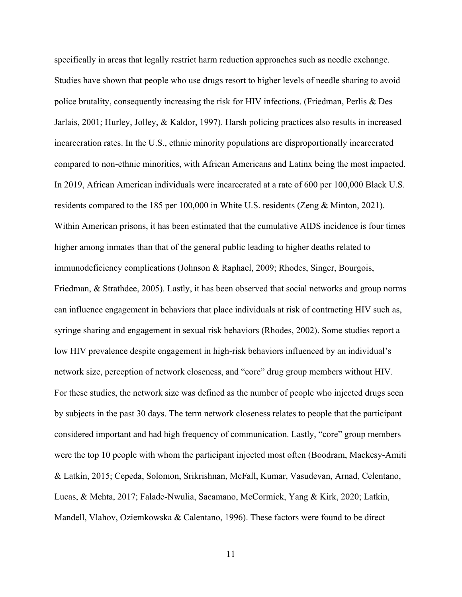specifically in areas that legally restrict harm reduction approaches such as needle exchange. Studies have shown that people who use drugs resort to higher levels of needle sharing to avoid police brutality, consequently increasing the risk for HIV infections. (Friedman, Perlis & Des Jarlais, 2001; Hurley, Jolley, & Kaldor, 1997). Harsh policing practices also results in increased incarceration rates. In the U.S., ethnic minority populations are disproportionally incarcerated compared to non-ethnic minorities, with African Americans and Latinx being the most impacted. In 2019, African American individuals were incarcerated at a rate of 600 per 100,000 Black U.S. residents compared to the 185 per 100,000 in White U.S. residents (Zeng & Minton, 2021). Within American prisons, it has been estimated that the cumulative AIDS incidence is four times higher among inmates than that of the general public leading to higher deaths related to immunodeficiency complications (Johnson & Raphael, 2009; Rhodes, Singer, Bourgois, Friedman, & Strathdee, 2005). Lastly, it has been observed that social networks and group norms can influence engagement in behaviors that place individuals at risk of contracting HIV such as, syringe sharing and engagement in sexual risk behaviors (Rhodes, 2002). Some studies report a low HIV prevalence despite engagement in high-risk behaviors influenced by an individual's network size, perception of network closeness, and "core" drug group members without HIV. For these studies, the network size was defined as the number of people who injected drugs seen by subjects in the past 30 days. The term network closeness relates to people that the participant considered important and had high frequency of communication. Lastly, "core" group members were the top 10 people with whom the participant injected most often (Boodram, Mackesy-Amiti & Latkin, 2015; Cepeda, Solomon, Srikrishnan, McFall, Kumar, Vasudevan, Arnad, Celentano, Lucas, & Mehta, 2017; Falade-Nwulia, Sacamano, McCormick, Yang & Kirk, 2020; Latkin, Mandell, Vlahov, Oziemkowska & Calentano, 1996). These factors were found to be direct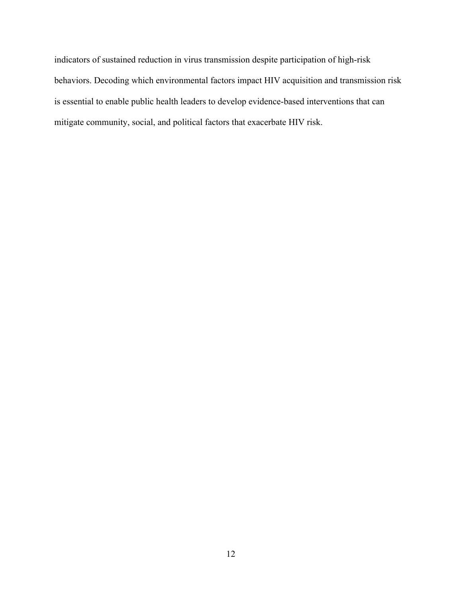indicators of sustained reduction in virus transmission despite participation of high-risk behaviors. Decoding which environmental factors impact HIV acquisition and transmission risk is essential to enable public health leaders to develop evidence-based interventions that can mitigate community, social, and political factors that exacerbate HIV risk.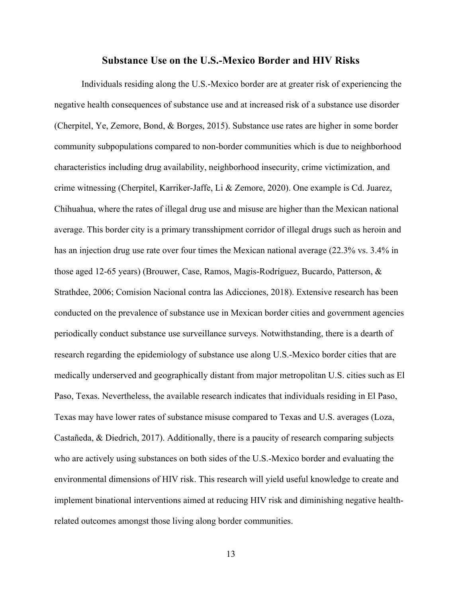#### **Substance Use on the U.S.-Mexico Border and HIV Risks**

Individuals residing along the U.S.-Mexico border are at greater risk of experiencing the negative health consequences of substance use and at increased risk of a substance use disorder (Cherpitel, Ye, Zemore, Bond, & Borges, 2015). Substance use rates are higher in some border community subpopulations compared to non-border communities which is due to neighborhood characteristics including drug availability, neighborhood insecurity, crime victimization, and crime witnessing (Cherpitel, Karriker-Jaffe, Li & Zemore, 2020). One example is Cd. Juarez, Chihuahua, where the rates of illegal drug use and misuse are higher than the Mexican national average. This border city is a primary transshipment corridor of illegal drugs such as heroin and has an injection drug use rate over four times the Mexican national average (22.3% vs. 3.4% in those aged 12-65 years) (Brouwer, Case, Ramos, Magis-Rodríguez, Bucardo, Patterson, & Strathdee, 2006; Comision Nacional contra las Adicciones, 2018). Extensive research has been conducted on the prevalence of substance use in Mexican border cities and government agencies periodically conduct substance use surveillance surveys. Notwithstanding, there is a dearth of research regarding the epidemiology of substance use along U.S.-Mexico border cities that are medically underserved and geographically distant from major metropolitan U.S. cities such as El Paso, Texas. Nevertheless, the available research indicates that individuals residing in El Paso, Texas may have lower rates of substance misuse compared to Texas and U.S. averages (Loza, Castañeda, & Diedrich, 2017). Additionally, there is a paucity of research comparing subjects who are actively using substances on both sides of the U.S.-Mexico border and evaluating the environmental dimensions of HIV risk. This research will yield useful knowledge to create and implement binational interventions aimed at reducing HIV risk and diminishing negative healthrelated outcomes amongst those living along border communities.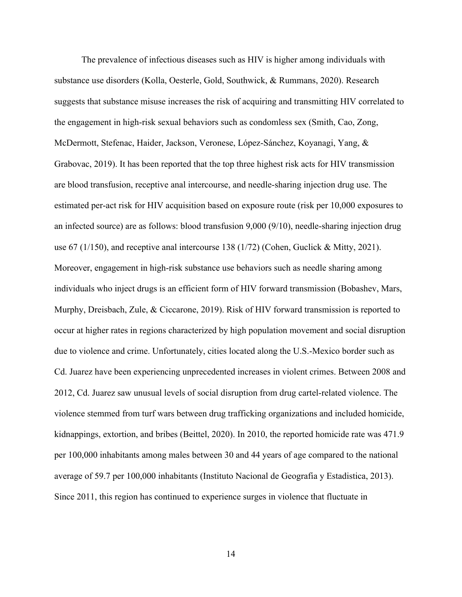The prevalence of infectious diseases such as HIV is higher among individuals with substance use disorders (Kolla, Oesterle, Gold, Southwick, & Rummans, 2020). Research suggests that substance misuse increases the risk of acquiring and transmitting HIV correlated to the engagement in high-risk sexual behaviors such as condomless sex (Smith, Cao, Zong, McDermott, Stefenac, Haider, Jackson, Veronese, López-Sánchez, Koyanagi, Yang, & Grabovac, 2019). It has been reported that the top three highest risk acts for HIV transmission are blood transfusion, receptive anal intercourse, and needle-sharing injection drug use. The estimated per-act risk for HIV acquisition based on exposure route (risk per 10,000 exposures to an infected source) are as follows: blood transfusion 9,000 (9/10), needle-sharing injection drug use 67 (1/150), and receptive anal intercourse 138 (1/72) (Cohen, Guclick & Mitty, 2021). Moreover, engagement in high-risk substance use behaviors such as needle sharing among individuals who inject drugs is an efficient form of HIV forward transmission (Bobashev, Mars, Murphy, Dreisbach, Zule, & Ciccarone, 2019). Risk of HIV forward transmission is reported to occur at higher rates in regions characterized by high population movement and social disruption due to violence and crime. Unfortunately, cities located along the U.S.-Mexico border such as Cd. Juarez have been experiencing unprecedented increases in violent crimes. Between 2008 and 2012, Cd. Juarez saw unusual levels of social disruption from drug cartel-related violence. The violence stemmed from turf wars between drug trafficking organizations and included homicide, kidnappings, extortion, and bribes (Beittel, 2020). In 2010, the reported homicide rate was 471.9 per 100,000 inhabitants among males between 30 and 44 years of age compared to the national average of 59.7 per 100,000 inhabitants (Instituto Nacional de Geografia y Estadistica, 2013). Since 2011, this region has continued to experience surges in violence that fluctuate in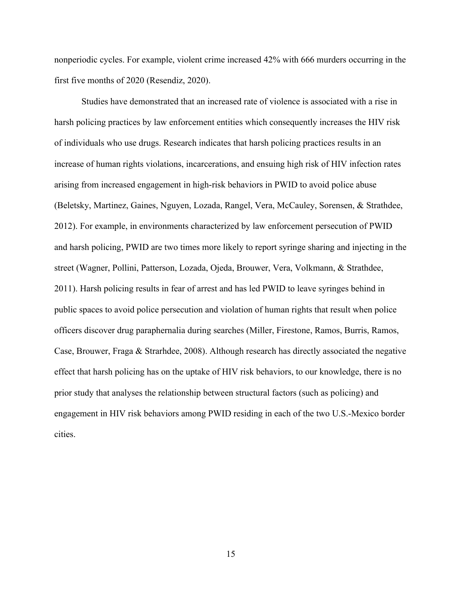nonperiodic cycles. For example, violent crime increased 42% with 666 murders occurring in the first five months of 2020 (Resendiz, 2020).

Studies have demonstrated that an increased rate of violence is associated with a rise in harsh policing practices by law enforcement entities which consequently increases the HIV risk of individuals who use drugs. Research indicates that harsh policing practices results in an increase of human rights violations, incarcerations, and ensuing high risk of HIV infection rates arising from increased engagement in high-risk behaviors in PWID to avoid police abuse (Beletsky, Martinez, Gaines, Nguyen, Lozada, Rangel, Vera, McCauley, Sorensen, & Strathdee, 2012). For example, in environments characterized by law enforcement persecution of PWID and harsh policing, PWID are two times more likely to report syringe sharing and injecting in the street (Wagner, Pollini, Patterson, Lozada, Ojeda, Brouwer, Vera, Volkmann, & Strathdee, 2011). Harsh policing results in fear of arrest and has led PWID to leave syringes behind in public spaces to avoid police persecution and violation of human rights that result when police officers discover drug paraphernalia during searches (Miller, Firestone, Ramos, Burris, Ramos, Case, Brouwer, Fraga & Strarhdee, 2008). Although research has directly associated the negative effect that harsh policing has on the uptake of HIV risk behaviors, to our knowledge, there is no prior study that analyses the relationship between structural factors (such as policing) and engagement in HIV risk behaviors among PWID residing in each of the two U.S.-Mexico border cities.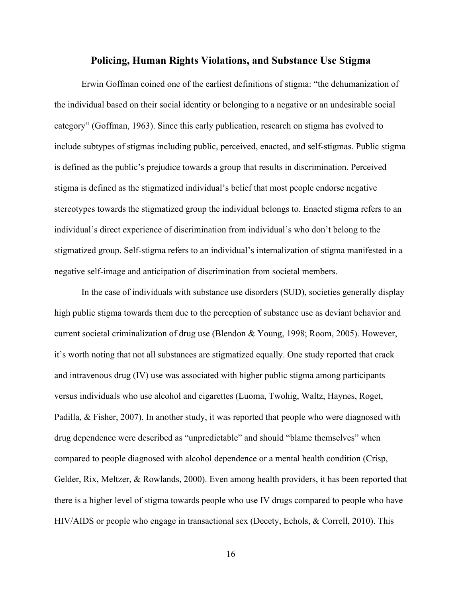#### **Policing, Human Rights Violations, and Substance Use Stigma**

Erwin Goffman coined one of the earliest definitions of stigma: "the dehumanization of the individual based on their social identity or belonging to a negative or an undesirable social category" (Goffman, 1963). Since this early publication, research on stigma has evolved to include subtypes of stigmas including public, perceived, enacted, and self-stigmas. Public stigma is defined as the public's prejudice towards a group that results in discrimination. Perceived stigma is defined as the stigmatized individual's belief that most people endorse negative stereotypes towards the stigmatized group the individual belongs to. Enacted stigma refers to an individual's direct experience of discrimination from individual's who don't belong to the stigmatized group. Self-stigma refers to an individual's internalization of stigma manifested in a negative self-image and anticipation of discrimination from societal members.

In the case of individuals with substance use disorders (SUD), societies generally display high public stigma towards them due to the perception of substance use as deviant behavior and current societal criminalization of drug use (Blendon & Young, 1998; Room, 2005). However, it's worth noting that not all substances are stigmatized equally. One study reported that crack and intravenous drug (IV) use was associated with higher public stigma among participants versus individuals who use alcohol and cigarettes (Luoma, Twohig, Waltz, Haynes, Roget, Padilla, & Fisher, 2007). In another study, it was reported that people who were diagnosed with drug dependence were described as "unpredictable" and should "blame themselves" when compared to people diagnosed with alcohol dependence or a mental health condition (Crisp, Gelder, Rix, Meltzer, & Rowlands, 2000). Even among health providers, it has been reported that there is a higher level of stigma towards people who use IV drugs compared to people who have HIV/AIDS or people who engage in transactional sex (Decety, Echols, & Correll, 2010). This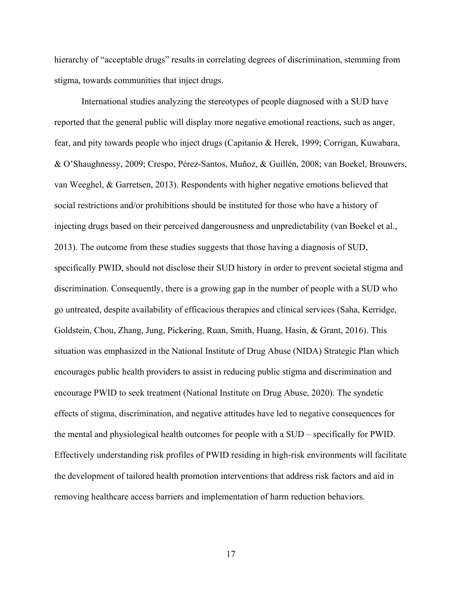hierarchy of "acceptable drugs" results in correlating degrees of discrimination, stemming from stigma, towards communities that inject drugs.

International studies analyzing the stereotypes of people diagnosed with a SUD have reported that the general public will display more negative emotional reactions, such as anger, fear, and pity towards people who inject drugs (Capitanio & Herek, 1999; Corrigan, Kuwabara, & O'Shaughnessy, 2009; Crespo, Pérez-Santos, Muñoz, & Guillén, 2008; van Boekel, Brouwers, van Weeghel, & Garretsen, 2013). Respondents with higher negative emotions believed that social restrictions and/or prohibitions should be instituted for those who have a history of injecting drugs based on their perceived dangerousness and unpredictability (van Boekel et al., 2013). The outcome from these studies suggests that those having a diagnosis of SUD, specifically PWID, should not disclose their SUD history in order to prevent societal stigma and discrimination. Consequently, there is a growing gap in the number of people with a SUD who go untreated, despite availability of efficacious therapies and clinical services (Saha, Kerridge, Goldstein, Chou, Zhang, Jung, Pickering, Ruan, Smith, Huang, Hasin, & Grant, 2016). This situation was emphasized in the National Institute of Drug Abuse (NIDA) Strategic Plan which encourages public health providers to assist in reducing public stigma and discrimination and encourage PWID to seek treatment (National Institute on Drug Abuse, 2020). The syndetic effects of stigma, discrimination, and negative attitudes have led to negative consequences for the mental and physiological health outcomes for people with a SUD – specifically for PWID. Effectively understanding risk profiles of PWID residing in high-risk environments will facilitate the development of tailored health promotion interventions that address risk factors and aid in removing healthcare access barriers and implementation of harm reduction behaviors.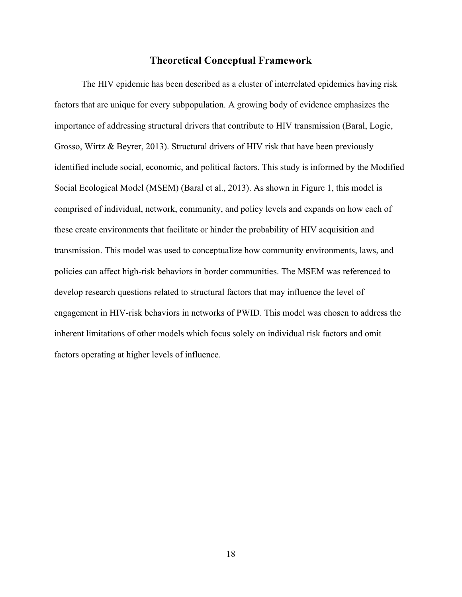#### **Theoretical Conceptual Framework**

The HIV epidemic has been described as a cluster of interrelated epidemics having risk factors that are unique for every subpopulation. A growing body of evidence emphasizes the importance of addressing structural drivers that contribute to HIV transmission (Baral, Logie, Grosso, Wirtz & Beyrer, 2013). Structural drivers of HIV risk that have been previously identified include social, economic, and political factors. This study is informed by the Modified Social Ecological Model (MSEM) (Baral et al., 2013). As shown in Figure 1, this model is comprised of individual, network, community, and policy levels and expands on how each of these create environments that facilitate or hinder the probability of HIV acquisition and transmission. This model was used to conceptualize how community environments, laws, and policies can affect high-risk behaviors in border communities. The MSEM was referenced to develop research questions related to structural factors that may influence the level of engagement in HIV-risk behaviors in networks of PWID. This model was chosen to address the inherent limitations of other models which focus solely on individual risk factors and omit factors operating at higher levels of influence.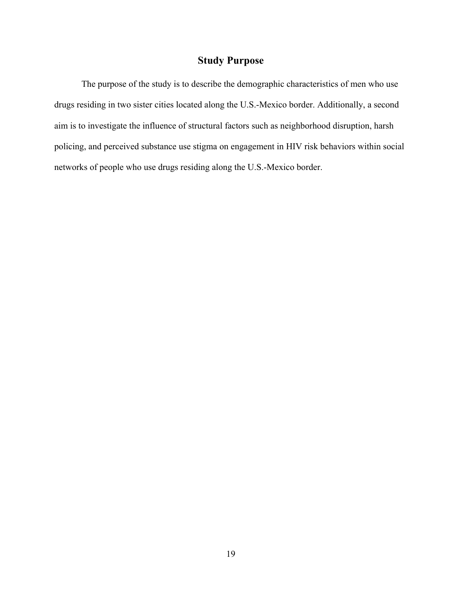# **Study Purpose**

The purpose of the study is to describe the demographic characteristics of men who use drugs residing in two sister cities located along the U.S.-Mexico border. Additionally, a second aim is to investigate the influence of structural factors such as neighborhood disruption, harsh policing, and perceived substance use stigma on engagement in HIV risk behaviors within social networks of people who use drugs residing along the U.S.-Mexico border.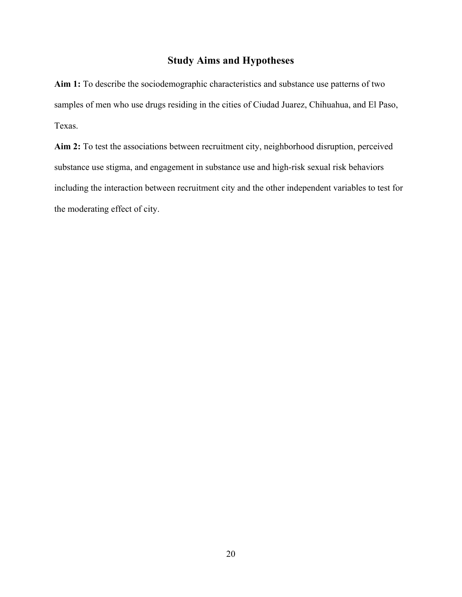# **Study Aims and Hypotheses**

**Aim 1:** To describe the sociodemographic characteristics and substance use patterns of two samples of men who use drugs residing in the cities of Ciudad Juarez, Chihuahua, and El Paso, Texas.

**Aim 2:** To test the associations between recruitment city, neighborhood disruption, perceived substance use stigma, and engagement in substance use and high-risk sexual risk behaviors including the interaction between recruitment city and the other independent variables to test for the moderating effect of city.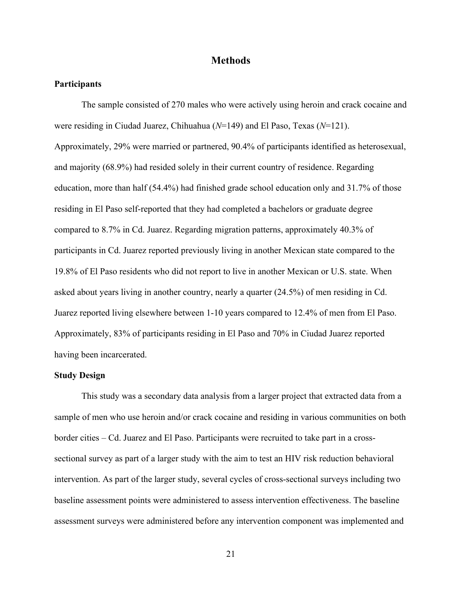#### **Methods**

#### **Participants**

The sample consisted of 270 males who were actively using heroin and crack cocaine and were residing in Ciudad Juarez, Chihuahua (*N*=149) and El Paso, Texas (*N*=121). Approximately, 29% were married or partnered, 90.4% of participants identified as heterosexual, and majority (68.9%) had resided solely in their current country of residence. Regarding education, more than half (54.4%) had finished grade school education only and 31.7% of those residing in El Paso self-reported that they had completed a bachelors or graduate degree compared to 8.7% in Cd. Juarez. Regarding migration patterns, approximately 40.3% of participants in Cd. Juarez reported previously living in another Mexican state compared to the 19.8% of El Paso residents who did not report to live in another Mexican or U.S. state. When asked about years living in another country, nearly a quarter (24.5%) of men residing in Cd. Juarez reported living elsewhere between 1-10 years compared to 12.4% of men from El Paso. Approximately, 83% of participants residing in El Paso and 70% in Ciudad Juarez reported having been incarcerated.

#### **Study Design**

This study was a secondary data analysis from a larger project that extracted data from a sample of men who use heroin and/or crack cocaine and residing in various communities on both border cities – Cd. Juarez and El Paso. Participants were recruited to take part in a crosssectional survey as part of a larger study with the aim to test an HIV risk reduction behavioral intervention. As part of the larger study, several cycles of cross-sectional surveys including two baseline assessment points were administered to assess intervention effectiveness. The baseline assessment surveys were administered before any intervention component was implemented and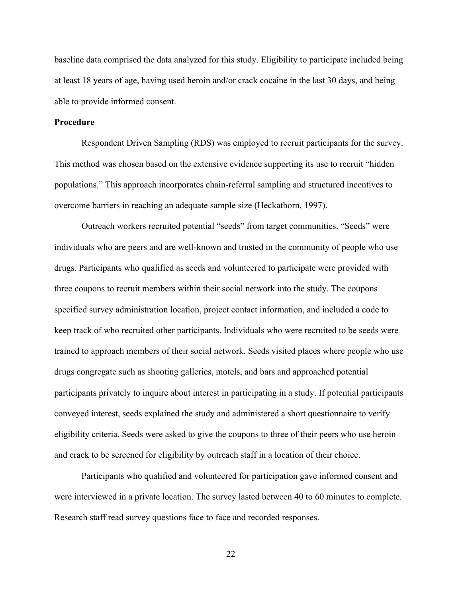baseline data comprised the data analyzed for this study. Eligibility to participate included being at least 18 years of age, having used heroin and/or crack cocaine in the last 30 days, and being able to provide informed consent.

#### **Procedure**

Respondent Driven Sampling (RDS) was employed to recruit participants for the survey. This method was chosen based on the extensive evidence supporting its use to recruit "hidden populations." This approach incorporates chain-referral sampling and structured incentives to overcome barriers in reaching an adequate sample size (Heckathorn, 1997).

Outreach workers recruited potential "seeds" from target communities. "Seeds" were individuals who are peers and are well-known and trusted in the community of people who use drugs. Participants who qualified as seeds and volunteered to participate were provided with three coupons to recruit members within their social network into the study. The coupons specified survey administration location, project contact information, and included a code to keep track of who recruited other participants. Individuals who were recruited to be seeds were trained to approach members of their social network. Seeds visited places where people who use drugs congregate such as shooting galleries, motels, and bars and approached potential participants privately to inquire about interest in participating in a study. If potential participants conveyed interest, seeds explained the study and administered a short questionnaire to verify eligibility criteria. Seeds were asked to give the coupons to three of their peers who use heroin and crack to be screened for eligibility by outreach staff in a location of their choice.

Participants who qualified and volunteered for participation gave informed consent and were interviewed in a private location. The survey lasted between 40 to 60 minutes to complete. Research staff read survey questions face to face and recorded responses.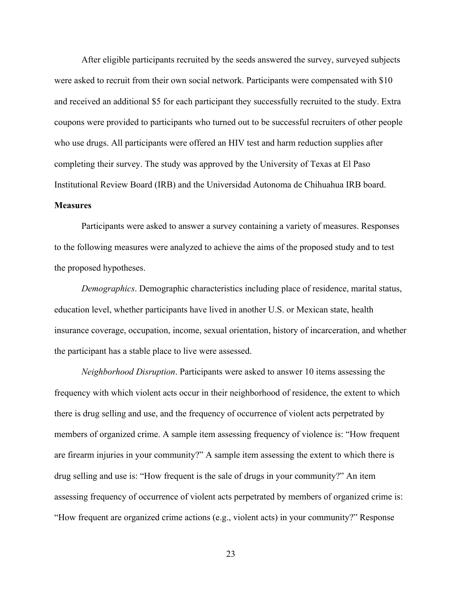After eligible participants recruited by the seeds answered the survey, surveyed subjects were asked to recruit from their own social network. Participants were compensated with \$10 and received an additional \$5 for each participant they successfully recruited to the study. Extra coupons were provided to participants who turned out to be successful recruiters of other people who use drugs. All participants were offered an HIV test and harm reduction supplies after completing their survey. The study was approved by the University of Texas at El Paso Institutional Review Board (IRB) and the Universidad Autonoma de Chihuahua IRB board.

# **Measures**

Participants were asked to answer a survey containing a variety of measures. Responses to the following measures were analyzed to achieve the aims of the proposed study and to test the proposed hypotheses.

*Demographics*. Demographic characteristics including place of residence, marital status, education level, whether participants have lived in another U.S. or Mexican state, health insurance coverage, occupation, income, sexual orientation, history of incarceration, and whether the participant has a stable place to live were assessed.

*Neighborhood Disruption*. Participants were asked to answer 10 items assessing the frequency with which violent acts occur in their neighborhood of residence, the extent to which there is drug selling and use, and the frequency of occurrence of violent acts perpetrated by members of organized crime. A sample item assessing frequency of violence is: "How frequent are firearm injuries in your community?" A sample item assessing the extent to which there is drug selling and use is: "How frequent is the sale of drugs in your community?" An item assessing frequency of occurrence of violent acts perpetrated by members of organized crime is: "How frequent are organized crime actions (e.g., violent acts) in your community?" Response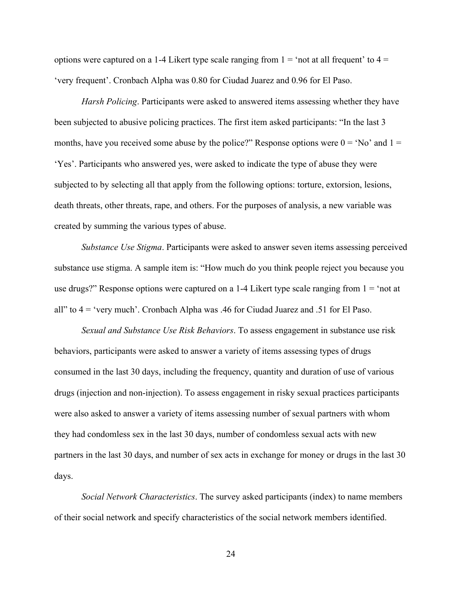options were captured on a 1-4 Likert type scale ranging from  $1 =$  'not at all frequent' to  $4 =$ 'very frequent'. Cronbach Alpha was 0.80 for Ciudad Juarez and 0.96 for El Paso.

*Harsh Policing*. Participants were asked to answered items assessing whether they have been subjected to abusive policing practices. The first item asked participants: "In the last 3 months, have you received some abuse by the police?" Response options were  $0 = 'No'$  and  $1 =$ 'Yes'. Participants who answered yes, were asked to indicate the type of abuse they were subjected to by selecting all that apply from the following options: torture, extorsion, lesions, death threats, other threats, rape, and others. For the purposes of analysis, a new variable was created by summing the various types of abuse.

*Substance Use Stigma*. Participants were asked to answer seven items assessing perceived substance use stigma. A sample item is: "How much do you think people reject you because you use drugs?" Response options were captured on a 1-4 Likert type scale ranging from  $1 = 'not$  at all" to 4 = 'very much'. Cronbach Alpha was .46 for Ciudad Juarez and .51 for El Paso.

*Sexual and Substance Use Risk Behaviors*. To assess engagement in substance use risk behaviors, participants were asked to answer a variety of items assessing types of drugs consumed in the last 30 days, including the frequency, quantity and duration of use of various drugs (injection and non-injection). To assess engagement in risky sexual practices participants were also asked to answer a variety of items assessing number of sexual partners with whom they had condomless sex in the last 30 days, number of condomless sexual acts with new partners in the last 30 days, and number of sex acts in exchange for money or drugs in the last 30 days.

*Social Network Characteristics*. The survey asked participants (index) to name members of their social network and specify characteristics of the social network members identified.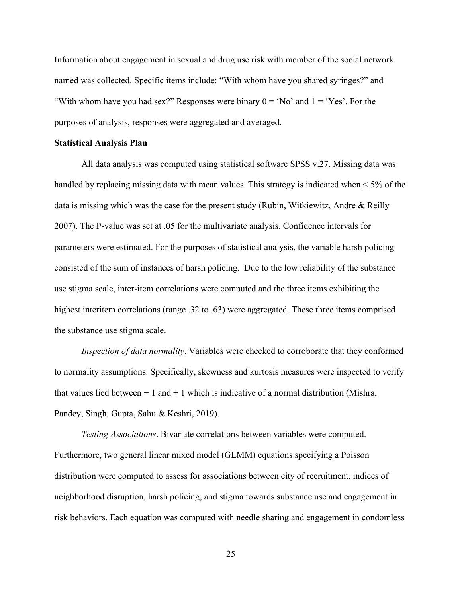Information about engagement in sexual and drug use risk with member of the social network named was collected. Specific items include: "With whom have you shared syringes?" and "With whom have you had sex?" Responses were binary  $0 = 'No'$  and  $1 = 'Yes'.$  For the purposes of analysis, responses were aggregated and averaged.

#### **Statistical Analysis Plan**

All data analysis was computed using statistical software SPSS v.27. Missing data was handled by replacing missing data with mean values. This strategy is indicated when < 5% of the data is missing which was the case for the present study (Rubin, Witkiewitz, Andre & Reilly 2007). The P-value was set at .05 for the multivariate analysis. Confidence intervals for parameters were estimated. For the purposes of statistical analysis, the variable harsh policing consisted of the sum of instances of harsh policing. Due to the low reliability of the substance use stigma scale, inter-item correlations were computed and the three items exhibiting the highest interitem correlations (range .32 to .63) were aggregated. These three items comprised the substance use stigma scale.

*Inspection of data normality*. Variables were checked to corroborate that they conformed to normality assumptions. Specifically, skewness and kurtosis measures were inspected to verify that values lied between  $-1$  and  $+1$  which is indicative of a normal distribution (Mishra, Pandey, Singh, Gupta, Sahu & Keshri, 2019).

*Testing Associations*. Bivariate correlations between variables were computed. Furthermore, two general linear mixed model (GLMM) equations specifying a Poisson distribution were computed to assess for associations between city of recruitment, indices of neighborhood disruption, harsh policing, and stigma towards substance use and engagement in risk behaviors. Each equation was computed with needle sharing and engagement in condomless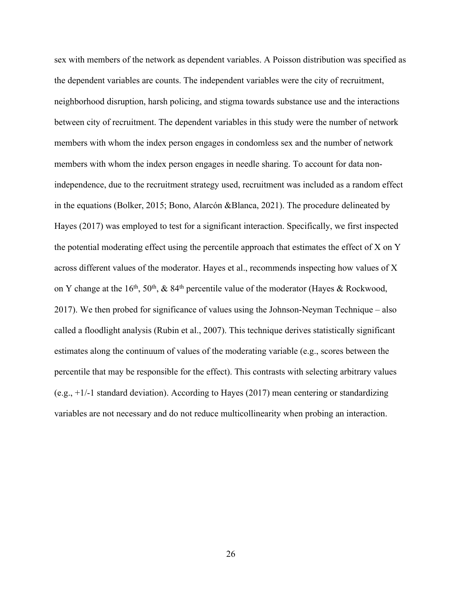sex with members of the network as dependent variables. A Poisson distribution was specified as the dependent variables are counts. The independent variables were the city of recruitment, neighborhood disruption, harsh policing, and stigma towards substance use and the interactions between city of recruitment. The dependent variables in this study were the number of network members with whom the index person engages in condomless sex and the number of network members with whom the index person engages in needle sharing. To account for data nonindependence, due to the recruitment strategy used, recruitment was included as a random effect in the equations (Bolker, 2015; Bono, Alarcón &Blanca, 2021). The procedure delineated by Hayes (2017) was employed to test for a significant interaction. Specifically, we first inspected the potential moderating effect using the percentile approach that estimates the effect of X on Y across different values of the moderator. Hayes et al., recommends inspecting how values of X on Y change at the 16<sup>th</sup>, 50<sup>th</sup>, & 84<sup>th</sup> percentile value of the moderator (Hayes & Rockwood, 2017). We then probed for significance of values using the Johnson-Neyman Technique – also called a floodlight analysis (Rubin et al., 2007). This technique derives statistically significant estimates along the continuum of values of the moderating variable (e.g., scores between the percentile that may be responsible for the effect). This contrasts with selecting arbitrary values (e.g., +1/-1 standard deviation). According to Hayes (2017) mean centering or standardizing variables are not necessary and do not reduce multicollinearity when probing an interaction.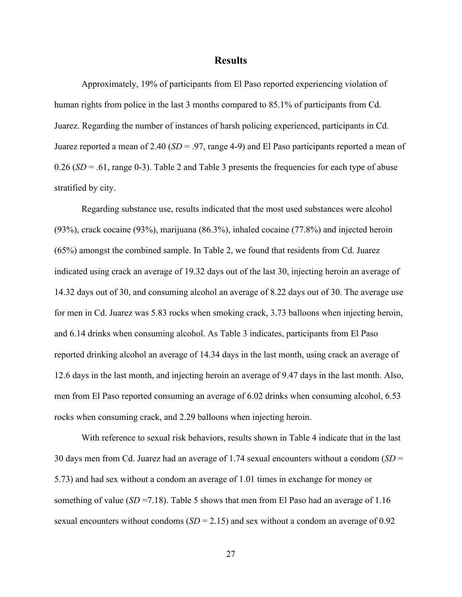#### **Results**

Approximately, 19% of participants from El Paso reported experiencing violation of human rights from police in the last 3 months compared to 85.1% of participants from Cd. Juarez. Regarding the number of instances of harsh policing experienced, participants in Cd. Juarez reported a mean of 2.40 (*SD* = .97, range 4-9) and El Paso participants reported a mean of  $0.26$  (*SD* = .61, range 0-3). Table 2 and Table 3 presents the frequencies for each type of abuse stratified by city.

Regarding substance use, results indicated that the most used substances were alcohol (93%), crack cocaine (93%), marijuana (86.3%), inhaled cocaine (77.8%) and injected heroin (65%) amongst the combined sample. In Table 2, we found that residents from Cd. Juarez indicated using crack an average of 19.32 days out of the last 30, injecting heroin an average of 14.32 days out of 30, and consuming alcohol an average of 8.22 days out of 30. The average use for men in Cd. Juarez was 5.83 rocks when smoking crack, 3.73 balloons when injecting heroin, and 6.14 drinks when consuming alcohol. As Table 3 indicates, participants from El Paso reported drinking alcohol an average of 14.34 days in the last month, using crack an average of 12.6 days in the last month, and injecting heroin an average of 9.47 days in the last month. Also, men from El Paso reported consuming an average of 6.02 drinks when consuming alcohol, 6.53 rocks when consuming crack, and 2.29 balloons when injecting heroin.

With reference to sexual risk behaviors, results shown in Table 4 indicate that in the last 30 days men from Cd. Juarez had an average of 1.74 sexual encounters without a condom (*SD* = 5.73) and had sex without a condom an average of 1.01 times in exchange for money or something of value ( $SD = 7.18$ ). Table 5 shows that men from El Paso had an average of 1.16 sexual encounters without condoms  $(SD = 2.15)$  and sex without a condom an average of 0.92

27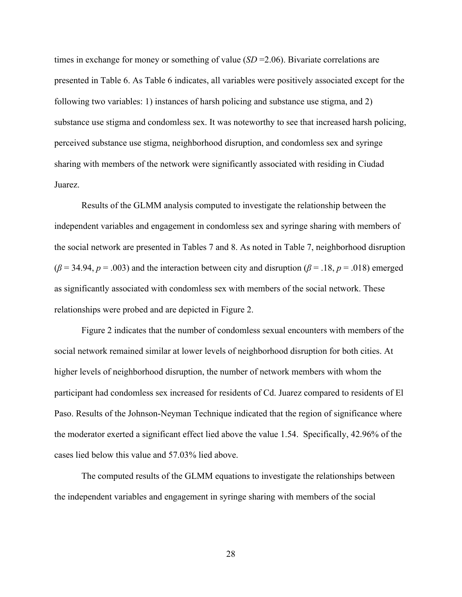times in exchange for money or something of value (*SD* = 2.06). Bivariate correlations are presented in Table 6. As Table 6 indicates, all variables were positively associated except for the following two variables: 1) instances of harsh policing and substance use stigma, and 2) substance use stigma and condomless sex. It was noteworthy to see that increased harsh policing, perceived substance use stigma, neighborhood disruption, and condomless sex and syringe sharing with members of the network were significantly associated with residing in Ciudad Juarez.

Results of the GLMM analysis computed to investigate the relationship between the independent variables and engagement in condomless sex and syringe sharing with members of the social network are presented in Tables 7 and 8. As noted in Table 7, neighborhood disruption  $(\beta = 34.94, p = .003)$  and the interaction between city and disruption ( $\beta = .18, p = .018$ ) emerged as significantly associated with condomless sex with members of the social network. These relationships were probed and are depicted in Figure 2.

Figure 2 indicates that the number of condomless sexual encounters with members of the social network remained similar at lower levels of neighborhood disruption for both cities. At higher levels of neighborhood disruption, the number of network members with whom the participant had condomless sex increased for residents of Cd. Juarez compared to residents of El Paso. Results of the Johnson-Neyman Technique indicated that the region of significance where the moderator exerted a significant effect lied above the value 1.54. Specifically, 42.96% of the cases lied below this value and 57.03% lied above.

The computed results of the GLMM equations to investigate the relationships between the independent variables and engagement in syringe sharing with members of the social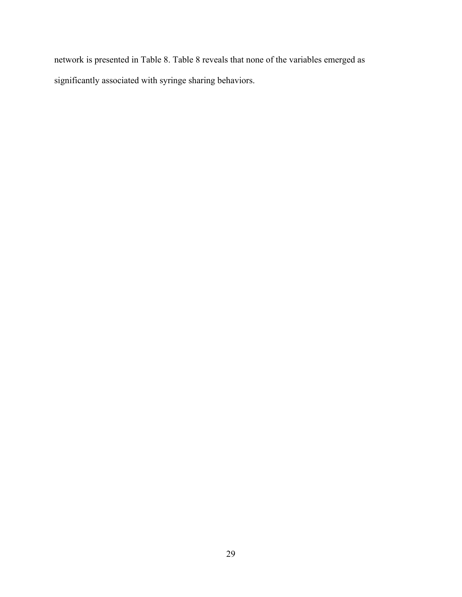network is presented in Table 8. Table 8 reveals that none of the variables emerged as significantly associated with syringe sharing behaviors.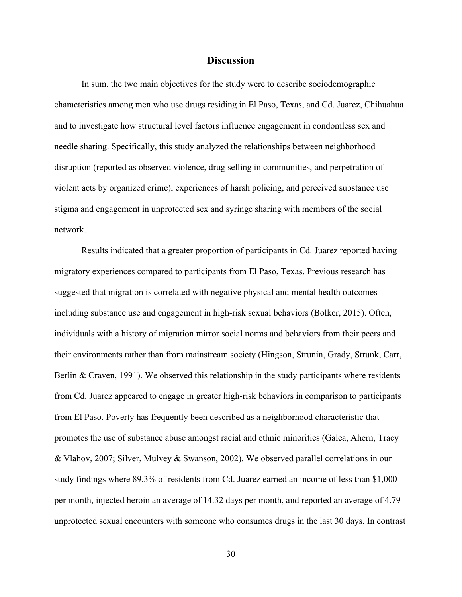#### **Discussion**

In sum, the two main objectives for the study were to describe sociodemographic characteristics among men who use drugs residing in El Paso, Texas, and Cd. Juarez, Chihuahua and to investigate how structural level factors influence engagement in condomless sex and needle sharing. Specifically, this study analyzed the relationships between neighborhood disruption (reported as observed violence, drug selling in communities, and perpetration of violent acts by organized crime), experiences of harsh policing, and perceived substance use stigma and engagement in unprotected sex and syringe sharing with members of the social network.

Results indicated that a greater proportion of participants in Cd. Juarez reported having migratory experiences compared to participants from El Paso, Texas. Previous research has suggested that migration is correlated with negative physical and mental health outcomes – including substance use and engagement in high-risk sexual behaviors (Bolker, 2015). Often, individuals with a history of migration mirror social norms and behaviors from their peers and their environments rather than from mainstream society (Hingson, Strunin, Grady, Strunk, Carr, Berlin & Craven, 1991). We observed this relationship in the study participants where residents from Cd. Juarez appeared to engage in greater high-risk behaviors in comparison to participants from El Paso. Poverty has frequently been described as a neighborhood characteristic that promotes the use of substance abuse amongst racial and ethnic minorities (Galea, Ahern, Tracy & Vlahov, 2007; Silver, Mulvey & Swanson, 2002). We observed parallel correlations in our study findings where 89.3% of residents from Cd. Juarez earned an income of less than \$1,000 per month, injected heroin an average of 14.32 days per month, and reported an average of 4.79 unprotected sexual encounters with someone who consumes drugs in the last 30 days. In contrast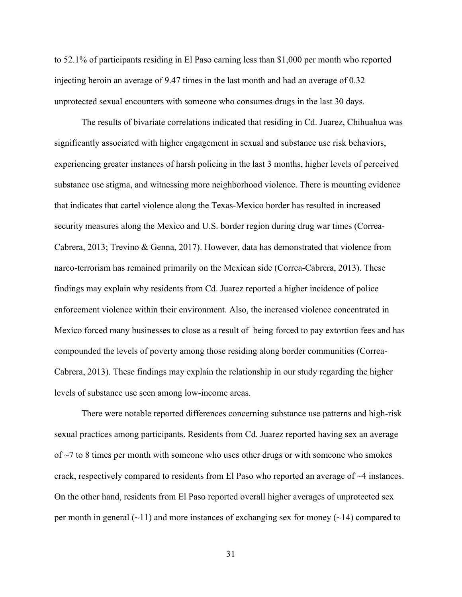to 52.1% of participants residing in El Paso earning less than \$1,000 per month who reported injecting heroin an average of 9.47 times in the last month and had an average of 0.32 unprotected sexual encounters with someone who consumes drugs in the last 30 days.

The results of bivariate correlations indicated that residing in Cd. Juarez, Chihuahua was significantly associated with higher engagement in sexual and substance use risk behaviors, experiencing greater instances of harsh policing in the last 3 months, higher levels of perceived substance use stigma, and witnessing more neighborhood violence. There is mounting evidence that indicates that cartel violence along the Texas-Mexico border has resulted in increased security measures along the Mexico and U.S. border region during drug war times (Correa-Cabrera, 2013; Trevino & Genna, 2017). However, data has demonstrated that violence from narco-terrorism has remained primarily on the Mexican side (Correa-Cabrera, 2013). These findings may explain why residents from Cd. Juarez reported a higher incidence of police enforcement violence within their environment. Also, the increased violence concentrated in Mexico forced many businesses to close as a result of being forced to pay extortion fees and has compounded the levels of poverty among those residing along border communities (Correa-Cabrera, 2013). These findings may explain the relationship in our study regarding the higher levels of substance use seen among low-income areas.

There were notable reported differences concerning substance use patterns and high-risk sexual practices among participants. Residents from Cd. Juarez reported having sex an average of  $\sim$ 7 to 8 times per month with someone who uses other drugs or with someone who smokes crack, respectively compared to residents from El Paso who reported an average of ~4 instances. On the other hand, residents from El Paso reported overall higher averages of unprotected sex per month in general  $(\sim 11)$  and more instances of exchanging sex for money  $(\sim 14)$  compared to

31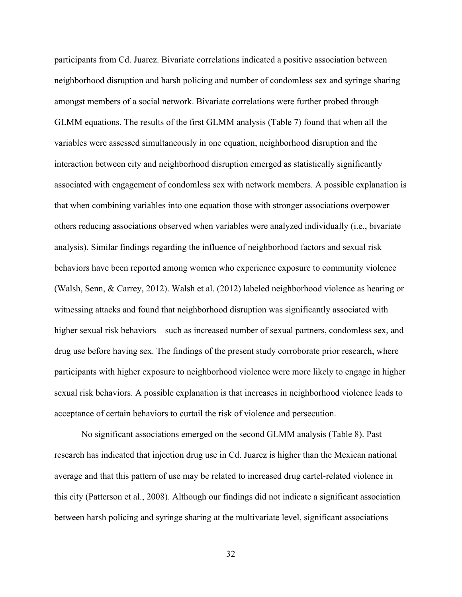participants from Cd. Juarez. Bivariate correlations indicated a positive association between neighborhood disruption and harsh policing and number of condomless sex and syringe sharing amongst members of a social network. Bivariate correlations were further probed through GLMM equations. The results of the first GLMM analysis (Table 7) found that when all the variables were assessed simultaneously in one equation, neighborhood disruption and the interaction between city and neighborhood disruption emerged as statistically significantly associated with engagement of condomless sex with network members. A possible explanation is that when combining variables into one equation those with stronger associations overpower others reducing associations observed when variables were analyzed individually (i.e., bivariate analysis). Similar findings regarding the influence of neighborhood factors and sexual risk behaviors have been reported among women who experience exposure to community violence (Walsh, Senn, & Carrey, 2012). Walsh et al. (2012) labeled neighborhood violence as hearing or witnessing attacks and found that neighborhood disruption was significantly associated with higher sexual risk behaviors – such as increased number of sexual partners, condomless sex, and drug use before having sex. The findings of the present study corroborate prior research, where participants with higher exposure to neighborhood violence were more likely to engage in higher sexual risk behaviors. A possible explanation is that increases in neighborhood violence leads to acceptance of certain behaviors to curtail the risk of violence and persecution.

No significant associations emerged on the second GLMM analysis (Table 8). Past research has indicated that injection drug use in Cd. Juarez is higher than the Mexican national average and that this pattern of use may be related to increased drug cartel-related violence in this city (Patterson et al., 2008). Although our findings did not indicate a significant association between harsh policing and syringe sharing at the multivariate level, significant associations

32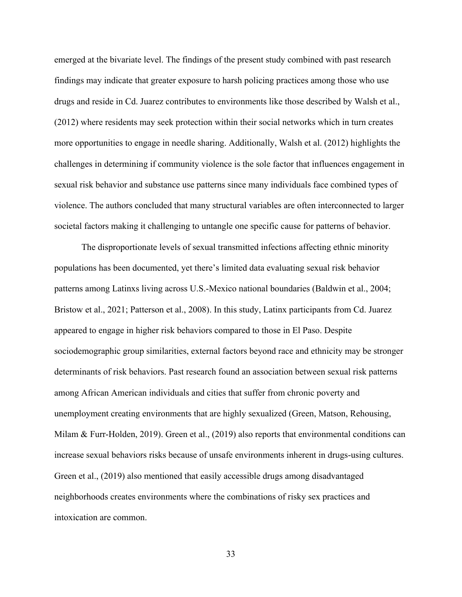emerged at the bivariate level. The findings of the present study combined with past research findings may indicate that greater exposure to harsh policing practices among those who use drugs and reside in Cd. Juarez contributes to environments like those described by Walsh et al., (2012) where residents may seek protection within their social networks which in turn creates more opportunities to engage in needle sharing. Additionally, Walsh et al. (2012) highlights the challenges in determining if community violence is the sole factor that influences engagement in sexual risk behavior and substance use patterns since many individuals face combined types of violence. The authors concluded that many structural variables are often interconnected to larger societal factors making it challenging to untangle one specific cause for patterns of behavior.

The disproportionate levels of sexual transmitted infections affecting ethnic minority populations has been documented, yet there's limited data evaluating sexual risk behavior patterns among Latinxs living across U.S.-Mexico national boundaries (Baldwin et al., 2004; Bristow et al., 2021; Patterson et al., 2008). In this study, Latinx participants from Cd. Juarez appeared to engage in higher risk behaviors compared to those in El Paso. Despite sociodemographic group similarities, external factors beyond race and ethnicity may be stronger determinants of risk behaviors. Past research found an association between sexual risk patterns among African American individuals and cities that suffer from chronic poverty and unemployment creating environments that are highly sexualized (Green, Matson, Rehousing, Milam & Furr-Holden, 2019). Green et al., (2019) also reports that environmental conditions can increase sexual behaviors risks because of unsafe environments inherent in drugs-using cultures. Green et al., (2019) also mentioned that easily accessible drugs among disadvantaged neighborhoods creates environments where the combinations of risky sex practices and intoxication are common.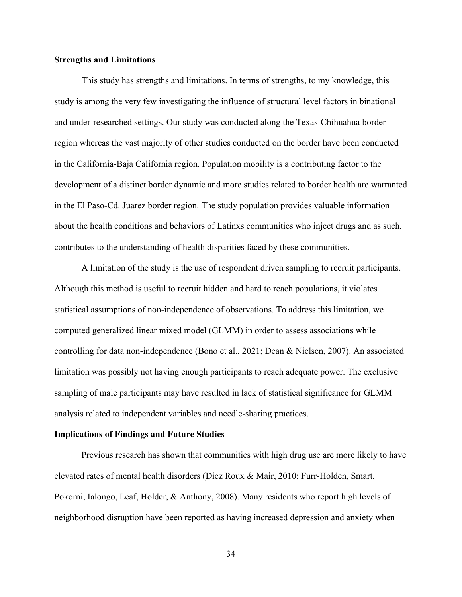#### **Strengths and Limitations**

This study has strengths and limitations. In terms of strengths, to my knowledge, this study is among the very few investigating the influence of structural level factors in binational and under-researched settings. Our study was conducted along the Texas-Chihuahua border region whereas the vast majority of other studies conducted on the border have been conducted in the California-Baja California region. Population mobility is a contributing factor to the development of a distinct border dynamic and more studies related to border health are warranted in the El Paso-Cd. Juarez border region. The study population provides valuable information about the health conditions and behaviors of Latinxs communities who inject drugs and as such, contributes to the understanding of health disparities faced by these communities.

A limitation of the study is the use of respondent driven sampling to recruit participants. Although this method is useful to recruit hidden and hard to reach populations, it violates statistical assumptions of non-independence of observations. To address this limitation, we computed generalized linear mixed model (GLMM) in order to assess associations while controlling for data non-independence (Bono et al., 2021; Dean & Nielsen, 2007). An associated limitation was possibly not having enough participants to reach adequate power. The exclusive sampling of male participants may have resulted in lack of statistical significance for GLMM analysis related to independent variables and needle-sharing practices.

#### **Implications of Findings and Future Studies**

Previous research has shown that communities with high drug use are more likely to have elevated rates of mental health disorders (Diez Roux & Mair, 2010; Furr-Holden, Smart, Pokorni, Ialongo, Leaf, Holder, & Anthony, 2008). Many residents who report high levels of neighborhood disruption have been reported as having increased depression and anxiety when

34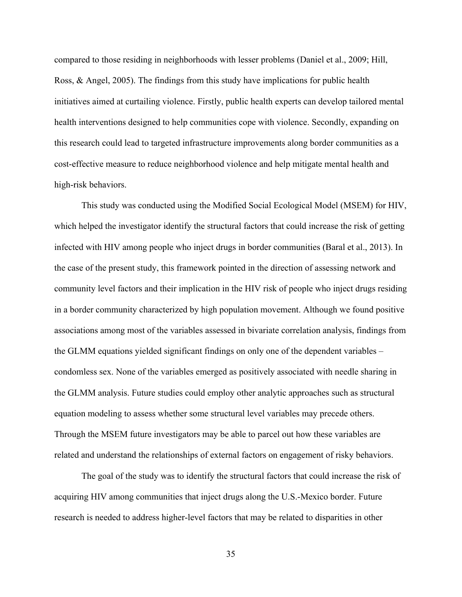compared to those residing in neighborhoods with lesser problems (Daniel et al., 2009; Hill, Ross, & Angel, 2005). The findings from this study have implications for public health initiatives aimed at curtailing violence. Firstly, public health experts can develop tailored mental health interventions designed to help communities cope with violence. Secondly, expanding on this research could lead to targeted infrastructure improvements along border communities as a cost-effective measure to reduce neighborhood violence and help mitigate mental health and high-risk behaviors.

This study was conducted using the Modified Social Ecological Model (MSEM) for HIV, which helped the investigator identify the structural factors that could increase the risk of getting infected with HIV among people who inject drugs in border communities (Baral et al., 2013). In the case of the present study, this framework pointed in the direction of assessing network and community level factors and their implication in the HIV risk of people who inject drugs residing in a border community characterized by high population movement. Although we found positive associations among most of the variables assessed in bivariate correlation analysis, findings from the GLMM equations yielded significant findings on only one of the dependent variables – condomless sex. None of the variables emerged as positively associated with needle sharing in the GLMM analysis. Future studies could employ other analytic approaches such as structural equation modeling to assess whether some structural level variables may precede others. Through the MSEM future investigators may be able to parcel out how these variables are related and understand the relationships of external factors on engagement of risky behaviors.

The goal of the study was to identify the structural factors that could increase the risk of acquiring HIV among communities that inject drugs along the U.S.-Mexico border. Future research is needed to address higher-level factors that may be related to disparities in other

35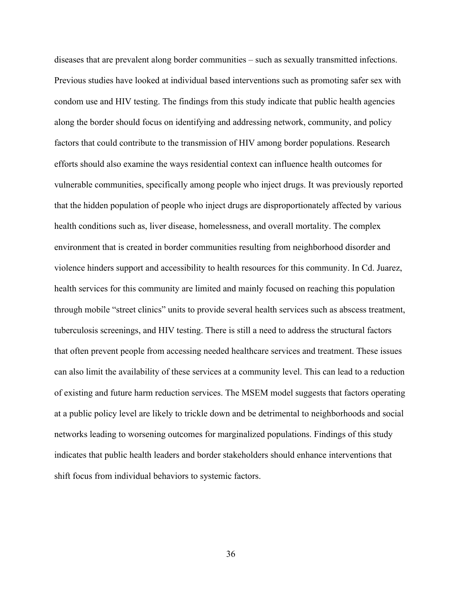diseases that are prevalent along border communities – such as sexually transmitted infections. Previous studies have looked at individual based interventions such as promoting safer sex with condom use and HIV testing. The findings from this study indicate that public health agencies along the border should focus on identifying and addressing network, community, and policy factors that could contribute to the transmission of HIV among border populations. Research efforts should also examine the ways residential context can influence health outcomes for vulnerable communities, specifically among people who inject drugs. It was previously reported that the hidden population of people who inject drugs are disproportionately affected by various health conditions such as, liver disease, homelessness, and overall mortality. The complex environment that is created in border communities resulting from neighborhood disorder and violence hinders support and accessibility to health resources for this community. In Cd. Juarez, health services for this community are limited and mainly focused on reaching this population through mobile "street clinics" units to provide several health services such as abscess treatment, tuberculosis screenings, and HIV testing. There is still a need to address the structural factors that often prevent people from accessing needed healthcare services and treatment. These issues can also limit the availability of these services at a community level. This can lead to a reduction of existing and future harm reduction services. The MSEM model suggests that factors operating at a public policy level are likely to trickle down and be detrimental to neighborhoods and social networks leading to worsening outcomes for marginalized populations. Findings of this study indicates that public health leaders and border stakeholders should enhance interventions that shift focus from individual behaviors to systemic factors.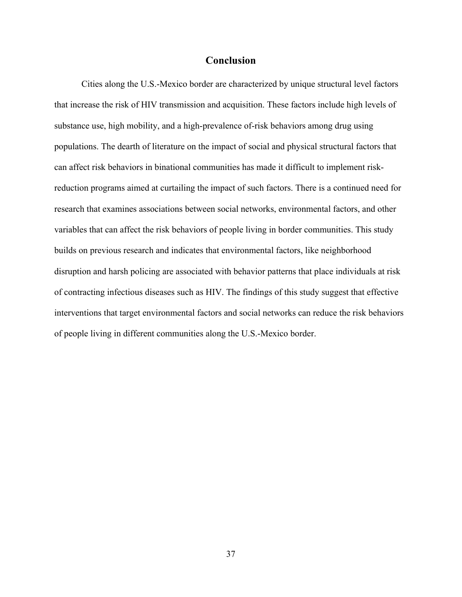### **Conclusion**

Cities along the U.S.-Mexico border are characterized by unique structural level factors that increase the risk of HIV transmission and acquisition. These factors include high levels of substance use, high mobility, and a high-prevalence of-risk behaviors among drug using populations. The dearth of literature on the impact of social and physical structural factors that can affect risk behaviors in binational communities has made it difficult to implement riskreduction programs aimed at curtailing the impact of such factors. There is a continued need for research that examines associations between social networks, environmental factors, and other variables that can affect the risk behaviors of people living in border communities. This study builds on previous research and indicates that environmental factors, like neighborhood disruption and harsh policing are associated with behavior patterns that place individuals at risk of contracting infectious diseases such as HIV. The findings of this study suggest that effective interventions that target environmental factors and social networks can reduce the risk behaviors of people living in different communities along the U.S.-Mexico border.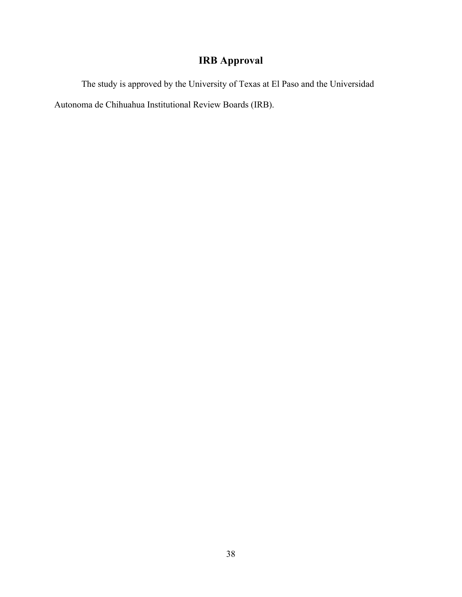# **IRB Approval**

The study is approved by the University of Texas at El Paso and the Universidad Autonoma de Chihuahua Institutional Review Boards (IRB).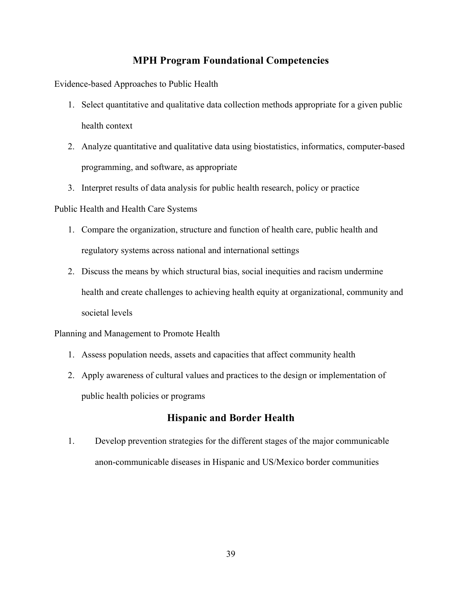## **MPH Program Foundational Competencies**

Evidence-based Approaches to Public Health

- 1. Select quantitative and qualitative data collection methods appropriate for a given public health context
- 2. Analyze quantitative and qualitative data using biostatistics, informatics, computer-based programming, and software, as appropriate
- 3. Interpret results of data analysis for public health research, policy or practice

### Public Health and Health Care Systems

- 1. Compare the organization, structure and function of health care, public health and regulatory systems across national and international settings
- 2. Discuss the means by which structural bias, social inequities and racism undermine health and create challenges to achieving health equity at organizational, community and societal levels

### Planning and Management to Promote Health

- 1. Assess population needs, assets and capacities that affect community health
- 2. Apply awareness of cultural values and practices to the design or implementation of public health policies or programs

## **Hispanic and Border Health**

1. Develop prevention strategies for the different stages of the major communicable anon-communicable diseases in Hispanic and US/Mexico border communities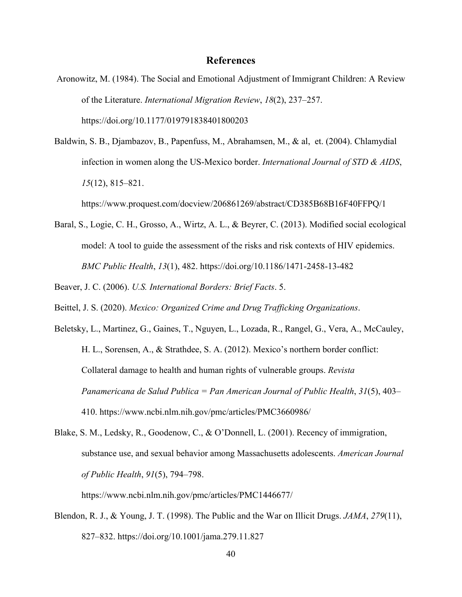## **References**

- Aronowitz, M. (1984). The Social and Emotional Adjustment of Immigrant Children: A Review of the Literature. *International Migration Review*, *18*(2), 237–257. https://doi.org/10.1177/019791838401800203
- Baldwin, S. B., Djambazov, B., Papenfuss, M., Abrahamsen, M., & al, et. (2004). Chlamydial infection in women along the US-Mexico border. *International Journal of STD & AIDS*, *15*(12), 815–821.

https://www.proquest.com/docview/206861269/abstract/CD385B68B16F40FFPQ/1

Baral, S., Logie, C. H., Grosso, A., Wirtz, A. L., & Beyrer, C. (2013). Modified social ecological model: A tool to guide the assessment of the risks and risk contexts of HIV epidemics. *BMC Public Health*, *13*(1), 482. https://doi.org/10.1186/1471-2458-13-482

Beaver, J. C. (2006). *U.S. International Borders: Brief Facts*. 5.

Beittel, J. S. (2020). *Mexico: Organized Crime and Drug Trafficking Organizations*.

- Beletsky, L., Martinez, G., Gaines, T., Nguyen, L., Lozada, R., Rangel, G., Vera, A., McCauley, H. L., Sorensen, A., & Strathdee, S. A. (2012). Mexico's northern border conflict: Collateral damage to health and human rights of vulnerable groups. *Revista Panamericana de Salud Publica = Pan American Journal of Public Health*, *31*(5), 403– 410. https://www.ncbi.nlm.nih.gov/pmc/articles/PMC3660986/
- Blake, S. M., Ledsky, R., Goodenow, C., & O'Donnell, L. (2001). Recency of immigration, substance use, and sexual behavior among Massachusetts adolescents. *American Journal of Public Health*, *91*(5), 794–798.

https://www.ncbi.nlm.nih.gov/pmc/articles/PMC1446677/

Blendon, R. J., & Young, J. T. (1998). The Public and the War on Illicit Drugs. *JAMA*, *279*(11), 827–832. https://doi.org/10.1001/jama.279.11.827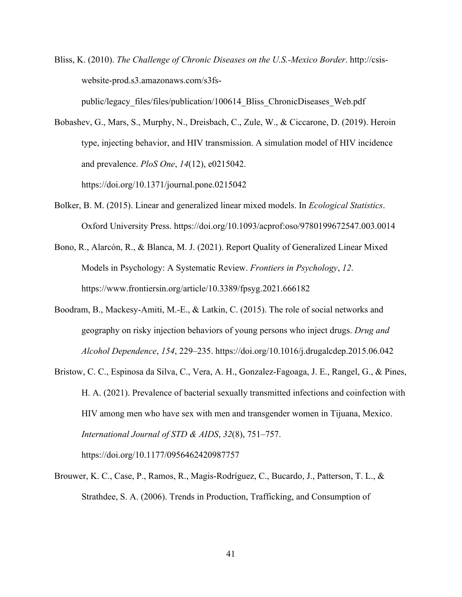Bliss, K. (2010). *The Challenge of Chronic Diseases on the U.S.-Mexico Border*. http://csiswebsite-prod.s3.amazonaws.com/s3fs-

public/legacy\_files/files/publication/100614\_Bliss\_ChronicDiseases\_Web.pdf

- Bobashev, G., Mars, S., Murphy, N., Dreisbach, C., Zule, W., & Ciccarone, D. (2019). Heroin type, injecting behavior, and HIV transmission. A simulation model of HIV incidence and prevalence. *PloS One*, *14*(12), e0215042. https://doi.org/10.1371/journal.pone.0215042
- Bolker, B. M. (2015). Linear and generalized linear mixed models. In *Ecological Statistics*. Oxford University Press. https://doi.org/10.1093/acprof:oso/9780199672547.003.0014
- Bono, R., Alarcón, R., & Blanca, M. J. (2021). Report Quality of Generalized Linear Mixed Models in Psychology: A Systematic Review. *Frontiers in Psychology*, *12*. https://www.frontiersin.org/article/10.3389/fpsyg.2021.666182
- Boodram, B., Mackesy-Amiti, M.-E., & Latkin, C. (2015). The role of social networks and geography on risky injection behaviors of young persons who inject drugs. *Drug and Alcohol Dependence*, *154*, 229–235. https://doi.org/10.1016/j.drugalcdep.2015.06.042
- Bristow, C. C., Espinosa da Silva, C., Vera, A. H., Gonzalez-Fagoaga, J. E., Rangel, G., & Pines, H. A. (2021). Prevalence of bacterial sexually transmitted infections and coinfection with HIV among men who have sex with men and transgender women in Tijuana, Mexico. *International Journal of STD & AIDS*, *32*(8), 751–757. https://doi.org/10.1177/0956462420987757
- Brouwer, K. C., Case, P., Ramos, R., Magis-Rodríguez, C., Bucardo, J., Patterson, T. L., & Strathdee, S. A. (2006). Trends in Production, Trafficking, and Consumption of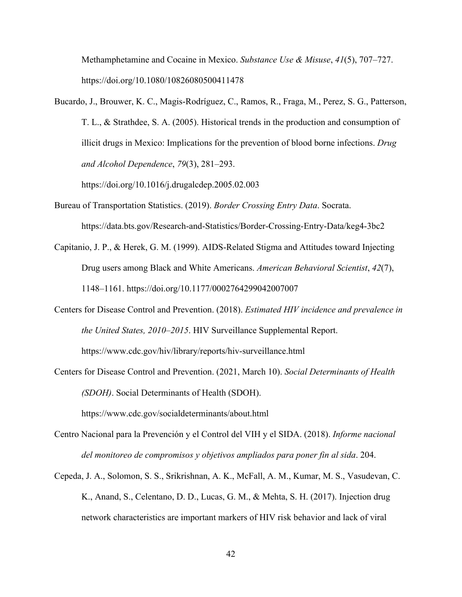Methamphetamine and Cocaine in Mexico. *Substance Use & Misuse*, *41*(5), 707–727. https://doi.org/10.1080/10826080500411478

Bucardo, J., Brouwer, K. C., Magis-Rodríguez, C., Ramos, R., Fraga, M., Perez, S. G., Patterson, T. L., & Strathdee, S. A. (2005). Historical trends in the production and consumption of illicit drugs in Mexico: Implications for the prevention of blood borne infections. *Drug and Alcohol Dependence*, *79*(3), 281–293.

https://doi.org/10.1016/j.drugalcdep.2005.02.003

- Bureau of Transportation Statistics. (2019). *Border Crossing Entry Data*. Socrata. https://data.bts.gov/Research-and-Statistics/Border-Crossing-Entry-Data/keg4-3bc2
- Capitanio, J. P., & Herek, G. M. (1999). AIDS-Related Stigma and Attitudes toward Injecting Drug users among Black and White Americans. *American Behavioral Scientist*, *42*(7), 1148–1161. https://doi.org/10.1177/0002764299042007007
- Centers for Disease Control and Prevention. (2018). *Estimated HIV incidence and prevalence in the United States, 2010–2015*. HIV Surveillance Supplemental Report. https://www.cdc.gov/hiv/library/reports/hiv-surveillance.html
- Centers for Disease Control and Prevention. (2021, March 10). *Social Determinants of Health (SDOH)*. Social Determinants of Health (SDOH).

https://www.cdc.gov/socialdeterminants/about.html

- Centro Nacional para la Prevención y el Control del VIH y el SIDA. (2018). *Informe nacional del monitoreo de compromisos y objetivos ampliados para poner fin al sida*. 204.
- Cepeda, J. A., Solomon, S. S., Srikrishnan, A. K., McFall, A. M., Kumar, M. S., Vasudevan, C. K., Anand, S., Celentano, D. D., Lucas, G. M., & Mehta, S. H. (2017). Injection drug network characteristics are important markers of HIV risk behavior and lack of viral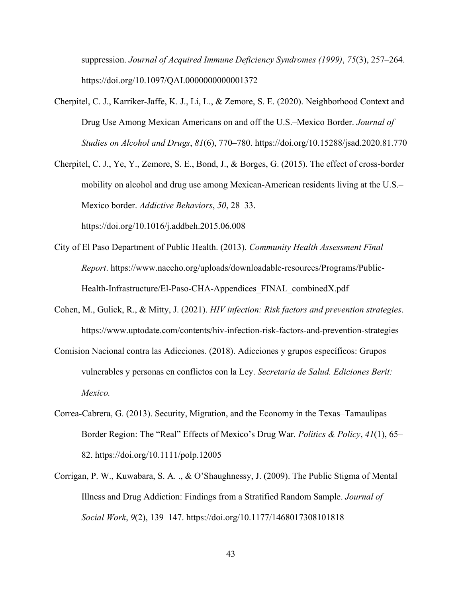suppression. *Journal of Acquired Immune Deficiency Syndromes (1999)*, *75*(3), 257–264. https://doi.org/10.1097/QAI.0000000000001372

- Cherpitel, C. J., Karriker-Jaffe, K. J., Li, L., & Zemore, S. E. (2020). Neighborhood Context and Drug Use Among Mexican Americans on and off the U.S.–Mexico Border. *Journal of Studies on Alcohol and Drugs*, *81*(6), 770–780. https://doi.org/10.15288/jsad.2020.81.770
- Cherpitel, C. J., Ye, Y., Zemore, S. E., Bond, J., & Borges, G. (2015). The effect of cross-border mobility on alcohol and drug use among Mexican-American residents living at the U.S.– Mexico border. *Addictive Behaviors*, *50*, 28–33. https://doi.org/10.1016/j.addbeh.2015.06.008

City of El Paso Department of Public Health. (2013). *Community Health Assessment Final Report*. https://www.naccho.org/uploads/downloadable-resources/Programs/Public-Health-Infrastructure/El-Paso-CHA-Appendices\_FINAL\_combinedX.pdf

- Cohen, M., Gulick, R., & Mitty, J. (2021). *HIV infection: Risk factors and prevention strategies*. https://www.uptodate.com/contents/hiv-infection-risk-factors-and-prevention-strategies
- Comision Nacional contra las Adicciones. (2018). Adicciones y grupos específicos: Grupos vulnerables y personas en conflictos con la Ley. *Secretaria de Salud. Ediciones Berit: Mexico.*
- Correa-Cabrera, G. (2013). Security, Migration, and the Economy in the Texas–Tamaulipas Border Region: The "Real" Effects of Mexico's Drug War. *Politics & Policy*, *41*(1), 65– 82. https://doi.org/10.1111/polp.12005
- Corrigan, P. W., Kuwabara, S. A. ., & O'Shaughnessy, J. (2009). The Public Stigma of Mental Illness and Drug Addiction: Findings from a Stratified Random Sample. *Journal of Social Work*, *9*(2), 139–147. https://doi.org/10.1177/1468017308101818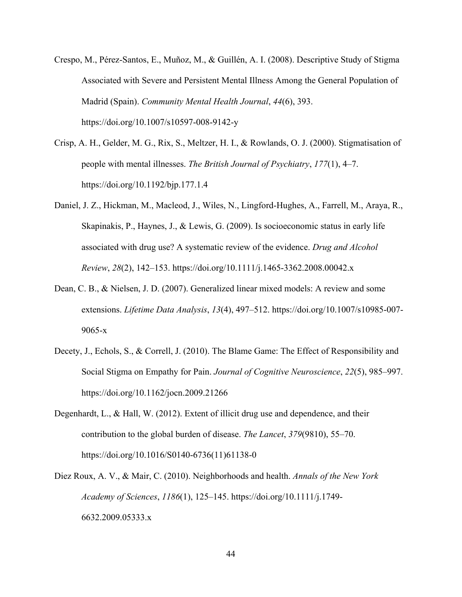- Crespo, M., Pérez-Santos, E., Muñoz, M., & Guillén, A. I. (2008). Descriptive Study of Stigma Associated with Severe and Persistent Mental Illness Among the General Population of Madrid (Spain). *Community Mental Health Journal*, *44*(6), 393. https://doi.org/10.1007/s10597-008-9142-y
- Crisp, A. H., Gelder, M. G., Rix, S., Meltzer, H. I., & Rowlands, O. J. (2000). Stigmatisation of people with mental illnesses. *The British Journal of Psychiatry*, *177*(1), 4–7. https://doi.org/10.1192/bjp.177.1.4
- Daniel, J. Z., Hickman, M., Macleod, J., Wiles, N., Lingford-Hughes, A., Farrell, M., Araya, R., Skapinakis, P., Haynes, J., & Lewis, G. (2009). Is socioeconomic status in early life associated with drug use? A systematic review of the evidence. *Drug and Alcohol Review*, *28*(2), 142–153. https://doi.org/10.1111/j.1465-3362.2008.00042.x
- Dean, C. B., & Nielsen, J. D. (2007). Generalized linear mixed models: A review and some extensions. *Lifetime Data Analysis*, *13*(4), 497–512. https://doi.org/10.1007/s10985-007- 9065-x
- Decety, J., Echols, S., & Correll, J. (2010). The Blame Game: The Effect of Responsibility and Social Stigma on Empathy for Pain. *Journal of Cognitive Neuroscience*, *22*(5), 985–997. https://doi.org/10.1162/jocn.2009.21266
- Degenhardt, L., & Hall, W. (2012). Extent of illicit drug use and dependence, and their contribution to the global burden of disease. *The Lancet*, *379*(9810), 55–70. https://doi.org/10.1016/S0140-6736(11)61138-0
- Diez Roux, A. V., & Mair, C. (2010). Neighborhoods and health. *Annals of the New York Academy of Sciences*, *1186*(1), 125–145. https://doi.org/10.1111/j.1749- 6632.2009.05333.x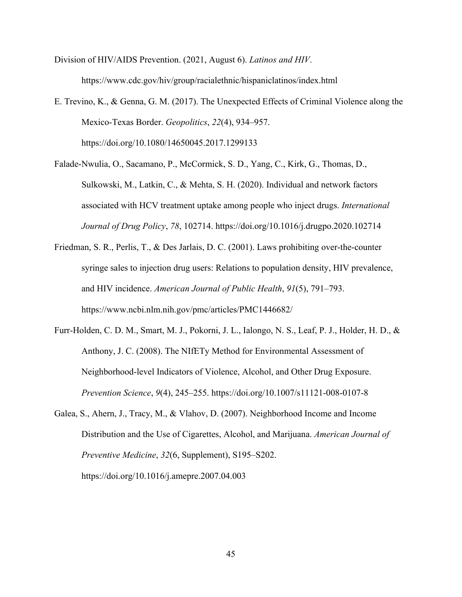Division of HIV/AIDS Prevention. (2021, August 6). *Latinos and HIV*. https://www.cdc.gov/hiv/group/racialethnic/hispaniclatinos/index.html

- E. Trevino, K., & Genna, G. M. (2017). The Unexpected Effects of Criminal Violence along the Mexico-Texas Border. *Geopolitics*, *22*(4), 934–957. https://doi.org/10.1080/14650045.2017.1299133
- Falade-Nwulia, O., Sacamano, P., McCormick, S. D., Yang, C., Kirk, G., Thomas, D., Sulkowski, M., Latkin, C., & Mehta, S. H. (2020). Individual and network factors associated with HCV treatment uptake among people who inject drugs. *International Journal of Drug Policy*, *78*, 102714. https://doi.org/10.1016/j.drugpo.2020.102714
- Friedman, S. R., Perlis, T., & Des Jarlais, D. C. (2001). Laws prohibiting over-the-counter syringe sales to injection drug users: Relations to population density, HIV prevalence, and HIV incidence. *American Journal of Public Health*, *91*(5), 791–793. https://www.ncbi.nlm.nih.gov/pmc/articles/PMC1446682/
- Furr-Holden, C. D. M., Smart, M. J., Pokorni, J. L., Ialongo, N. S., Leaf, P. J., Holder, H. D., & Anthony, J. C. (2008). The NIfETy Method for Environmental Assessment of Neighborhood-level Indicators of Violence, Alcohol, and Other Drug Exposure. *Prevention Science*, *9*(4), 245–255. https://doi.org/10.1007/s11121-008-0107-8
- Galea, S., Ahern, J., Tracy, M., & Vlahov, D. (2007). Neighborhood Income and Income Distribution and the Use of Cigarettes, Alcohol, and Marijuana. *American Journal of Preventive Medicine*, *32*(6, Supplement), S195–S202.

https://doi.org/10.1016/j.amepre.2007.04.003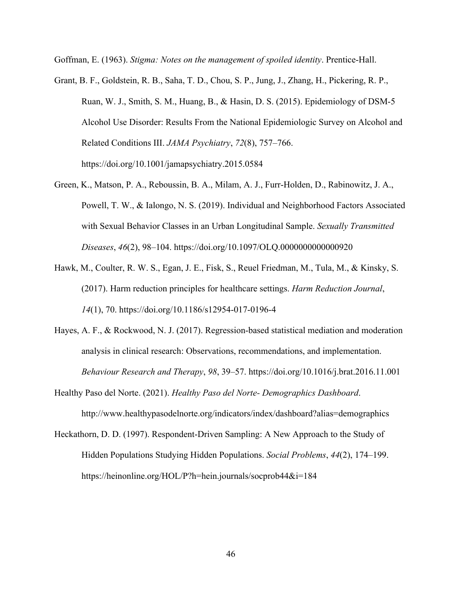Goffman, E. (1963). *Stigma: Notes on the management of spoiled identity*. Prentice-Hall.

- Grant, B. F., Goldstein, R. B., Saha, T. D., Chou, S. P., Jung, J., Zhang, H., Pickering, R. P., Ruan, W. J., Smith, S. M., Huang, B., & Hasin, D. S. (2015). Epidemiology of DSM-5 Alcohol Use Disorder: Results From the National Epidemiologic Survey on Alcohol and Related Conditions III. *JAMA Psychiatry*, *72*(8), 757–766. https://doi.org/10.1001/jamapsychiatry.2015.0584
- Green, K., Matson, P. A., Reboussin, B. A., Milam, A. J., Furr-Holden, D., Rabinowitz, J. A., Powell, T. W., & Ialongo, N. S. (2019). Individual and Neighborhood Factors Associated with Sexual Behavior Classes in an Urban Longitudinal Sample. *Sexually Transmitted Diseases*, *46*(2), 98–104. https://doi.org/10.1097/OLQ.0000000000000920
- Hawk, M., Coulter, R. W. S., Egan, J. E., Fisk, S., Reuel Friedman, M., Tula, M., & Kinsky, S. (2017). Harm reduction principles for healthcare settings. *Harm Reduction Journal*, *14*(1), 70. https://doi.org/10.1186/s12954-017-0196-4
- Hayes, A. F., & Rockwood, N. J. (2017). Regression-based statistical mediation and moderation analysis in clinical research: Observations, recommendations, and implementation. *Behaviour Research and Therapy*, *98*, 39–57. https://doi.org/10.1016/j.brat.2016.11.001
- Healthy Paso del Norte. (2021). *Healthy Paso del Norte- Demographics Dashboard*. http://www.healthypasodelnorte.org/indicators/index/dashboard?alias=demographics
- Heckathorn, D. D. (1997). Respondent-Driven Sampling: A New Approach to the Study of Hidden Populations Studying Hidden Populations. *Social Problems*, *44*(2), 174–199. https://heinonline.org/HOL/P?h=hein.journals/socprob44&i=184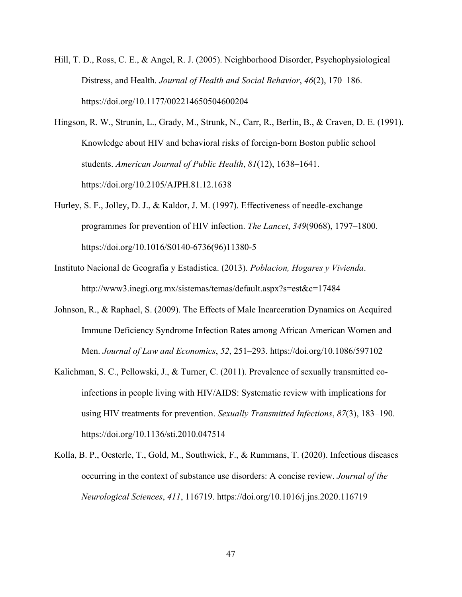- Hill, T. D., Ross, C. E., & Angel, R. J. (2005). Neighborhood Disorder, Psychophysiological Distress, and Health. *Journal of Health and Social Behavior*, *46*(2), 170–186. https://doi.org/10.1177/002214650504600204
- Hingson, R. W., Strunin, L., Grady, M., Strunk, N., Carr, R., Berlin, B., & Craven, D. E. (1991). Knowledge about HIV and behavioral risks of foreign-born Boston public school students. *American Journal of Public Health*, *81*(12), 1638–1641. https://doi.org/10.2105/AJPH.81.12.1638
- Hurley, S. F., Jolley, D. J., & Kaldor, J. M. (1997). Effectiveness of needle-exchange programmes for prevention of HIV infection. *The Lancet*, *349*(9068), 1797–1800. https://doi.org/10.1016/S0140-6736(96)11380-5
- Instituto Nacional de Geografia y Estadistica. (2013). *Poblacion, Hogares y Vivienda*. http://www3.inegi.org.mx/sistemas/temas/default.aspx?s=est&c=17484
- Johnson, R., & Raphael, S. (2009). The Effects of Male Incarceration Dynamics on Acquired Immune Deficiency Syndrome Infection Rates among African American Women and Men. *Journal of Law and Economics*, *52*, 251–293. https://doi.org/10.1086/597102
- Kalichman, S. C., Pellowski, J., & Turner, C. (2011). Prevalence of sexually transmitted coinfections in people living with HIV/AIDS: Systematic review with implications for using HIV treatments for prevention. *Sexually Transmitted Infections*, *87*(3), 183–190. https://doi.org/10.1136/sti.2010.047514
- Kolla, B. P., Oesterle, T., Gold, M., Southwick, F., & Rummans, T. (2020). Infectious diseases occurring in the context of substance use disorders: A concise review. *Journal of the Neurological Sciences*, *411*, 116719. https://doi.org/10.1016/j.jns.2020.116719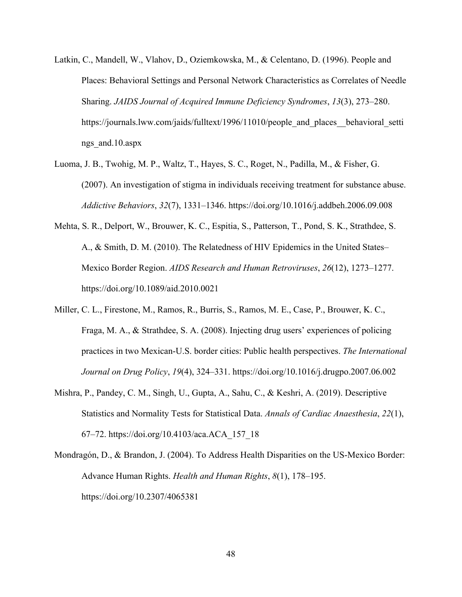- Latkin, C., Mandell, W., Vlahov, D., Oziemkowska, M., & Celentano, D. (1996). People and Places: Behavioral Settings and Personal Network Characteristics as Correlates of Needle Sharing. *JAIDS Journal of Acquired Immune Deficiency Syndromes*, *13*(3), 273–280. https://journals.lww.com/jaids/fulltext/1996/11010/people and places behavioral setti ngs\_and.10.aspx
- Luoma, J. B., Twohig, M. P., Waltz, T., Hayes, S. C., Roget, N., Padilla, M., & Fisher, G. (2007). An investigation of stigma in individuals receiving treatment for substance abuse. *Addictive Behaviors*, *32*(7), 1331–1346. https://doi.org/10.1016/j.addbeh.2006.09.008
- Mehta, S. R., Delport, W., Brouwer, K. C., Espitia, S., Patterson, T., Pond, S. K., Strathdee, S. A., & Smith, D. M. (2010). The Relatedness of HIV Epidemics in the United States– Mexico Border Region. *AIDS Research and Human Retroviruses*, *26*(12), 1273–1277. https://doi.org/10.1089/aid.2010.0021
- Miller, C. L., Firestone, M., Ramos, R., Burris, S., Ramos, M. E., Case, P., Brouwer, K. C., Fraga, M. A., & Strathdee, S. A. (2008). Injecting drug users' experiences of policing practices in two Mexican-U.S. border cities: Public health perspectives. *The International Journal on Drug Policy*, *19*(4), 324–331. https://doi.org/10.1016/j.drugpo.2007.06.002
- Mishra, P., Pandey, C. M., Singh, U., Gupta, A., Sahu, C., & Keshri, A. (2019). Descriptive Statistics and Normality Tests for Statistical Data. *Annals of Cardiac Anaesthesia*, *22*(1), 67–72. https://doi.org/10.4103/aca.ACA\_157\_18
- Mondragón, D., & Brandon, J. (2004). To Address Health Disparities on the US-Mexico Border: Advance Human Rights. *Health and Human Rights*, *8*(1), 178–195. https://doi.org/10.2307/4065381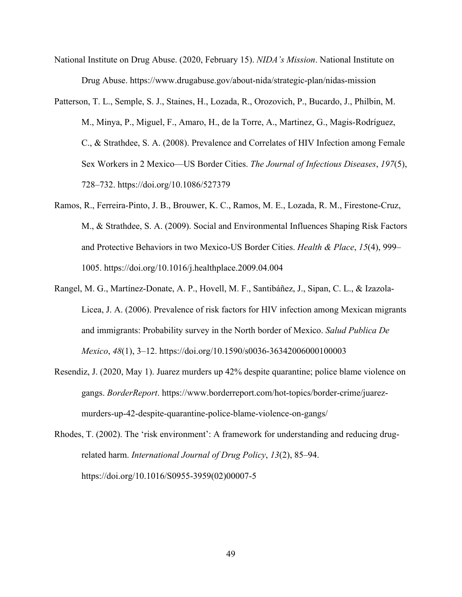- National Institute on Drug Abuse. (2020, February 15). *NIDA's Mission*. National Institute on Drug Abuse. https://www.drugabuse.gov/about-nida/strategic-plan/nidas-mission
- Patterson, T. L., Semple, S. J., Staines, H., Lozada, R., Orozovich, P., Bucardo, J., Philbin, M. M., Minya, P., Miguel, F., Amaro, H., de la Torre, A., Martinez, G., Magis-Rodríguez, C., & Strathdee, S. A. (2008). Prevalence and Correlates of HIV Infection among Female Sex Workers in 2 Mexico—US Border Cities. *The Journal of Infectious Diseases*, *197*(5), 728–732. https://doi.org/10.1086/527379
- Ramos, R., Ferreira-Pinto, J. B., Brouwer, K. C., Ramos, M. E., Lozada, R. M., Firestone-Cruz, M., & Strathdee, S. A. (2009). Social and Environmental Influences Shaping Risk Factors and Protective Behaviors in two Mexico-US Border Cities. *Health & Place*, *15*(4), 999– 1005. https://doi.org/10.1016/j.healthplace.2009.04.004
- Rangel, M. G., Martínez-Donate, A. P., Hovell, M. F., Santibáñez, J., Sipan, C. L., & Izazola-Licea, J. A. (2006). Prevalence of risk factors for HIV infection among Mexican migrants and immigrants: Probability survey in the North border of Mexico. *Salud Publica De Mexico*, *48*(1), 3–12. https://doi.org/10.1590/s0036-36342006000100003
- Resendiz, J. (2020, May 1). Juarez murders up 42% despite quarantine; police blame violence on gangs. *BorderReport*. https://www.borderreport.com/hot-topics/border-crime/juarezmurders-up-42-despite-quarantine-police-blame-violence-on-gangs/
- Rhodes, T. (2002). The 'risk environment': A framework for understanding and reducing drugrelated harm. *International Journal of Drug Policy*, *13*(2), 85–94. https://doi.org/10.1016/S0955-3959(02)00007-5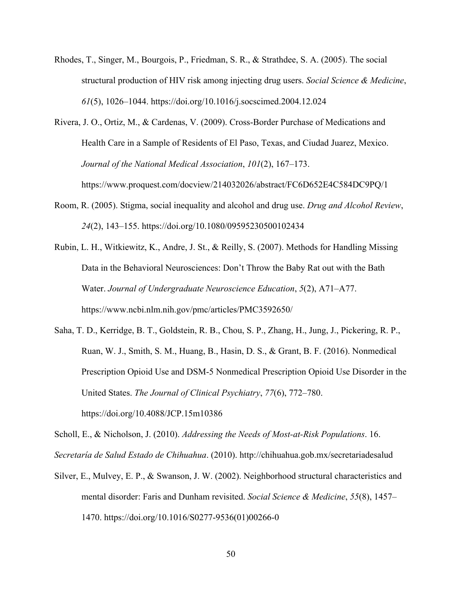- Rhodes, T., Singer, M., Bourgois, P., Friedman, S. R., & Strathdee, S. A. (2005). The social structural production of HIV risk among injecting drug users. *Social Science & Medicine*, *61*(5), 1026–1044. https://doi.org/10.1016/j.socscimed.2004.12.024
- Rivera, J. O., Ortiz, M., & Cardenas, V. (2009). Cross-Border Purchase of Medications and Health Care in a Sample of Residents of El Paso, Texas, and Ciudad Juarez, Mexico. *Journal of the National Medical Association*, *101*(2), 167–173. https://www.proquest.com/docview/214032026/abstract/FC6D652E4C584DC9PQ/1
- Room, R. (2005). Stigma, social inequality and alcohol and drug use. *Drug and Alcohol Review*, *24*(2), 143–155. https://doi.org/10.1080/09595230500102434
- Rubin, L. H., Witkiewitz, K., Andre, J. St., & Reilly, S. (2007). Methods for Handling Missing Data in the Behavioral Neurosciences: Don't Throw the Baby Rat out with the Bath Water. *Journal of Undergraduate Neuroscience Education*, *5*(2), A71–A77. https://www.ncbi.nlm.nih.gov/pmc/articles/PMC3592650/
- Saha, T. D., Kerridge, B. T., Goldstein, R. B., Chou, S. P., Zhang, H., Jung, J., Pickering, R. P., Ruan, W. J., Smith, S. M., Huang, B., Hasin, D. S., & Grant, B. F. (2016). Nonmedical Prescription Opioid Use and DSM-5 Nonmedical Prescription Opioid Use Disorder in the United States. *The Journal of Clinical Psychiatry*, *77*(6), 772–780. https://doi.org/10.4088/JCP.15m10386

Scholl, E., & Nicholson, J. (2010). *Addressing the Needs of Most-at-Risk Populations*. 16. *Secretaría de Salud Estado de Chihuahua*. (2010). http://chihuahua.gob.mx/secretariadesalud

Silver, E., Mulvey, E. P., & Swanson, J. W. (2002). Neighborhood structural characteristics and mental disorder: Faris and Dunham revisited. *Social Science & Medicine*, *55*(8), 1457– 1470. https://doi.org/10.1016/S0277-9536(01)00266-0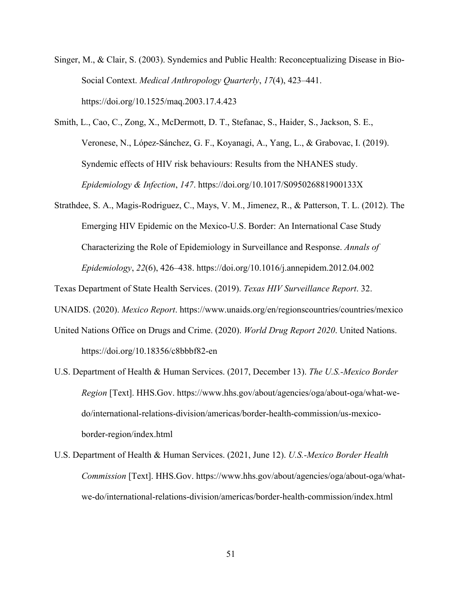- Singer, M., & Clair, S. (2003). Syndemics and Public Health: Reconceptualizing Disease in Bio-Social Context. *Medical Anthropology Quarterly*, *17*(4), 423–441. https://doi.org/10.1525/maq.2003.17.4.423
- Smith, L., Cao, C., Zong, X., McDermott, D. T., Stefanac, S., Haider, S., Jackson, S. E., Veronese, N., López-Sánchez, G. F., Koyanagi, A., Yang, L., & Grabovac, I. (2019). Syndemic effects of HIV risk behaviours: Results from the NHANES study. *Epidemiology & Infection*, *147*. https://doi.org/10.1017/S095026881900133X
- Strathdee, S. A., Magis-Rodriguez, C., Mays, V. M., Jimenez, R., & Patterson, T. L. (2012). The Emerging HIV Epidemic on the Mexico-U.S. Border: An International Case Study Characterizing the Role of Epidemiology in Surveillance and Response. *Annals of Epidemiology*, *22*(6), 426–438. https://doi.org/10.1016/j.annepidem.2012.04.002

Texas Department of State Health Services. (2019). *Texas HIV Surveillance Report*. 32.

UNAIDS. (2020). *Mexico Report*. https://www.unaids.org/en/regionscountries/countries/mexico

- United Nations Office on Drugs and Crime. (2020). *World Drug Report 2020*. United Nations. https://doi.org/10.18356/c8bbbf82-en
- U.S. Department of Health & Human Services. (2017, December 13). *The U.S.-Mexico Border Region* [Text]. HHS.Gov. https://www.hhs.gov/about/agencies/oga/about-oga/what-wedo/international-relations-division/americas/border-health-commission/us-mexicoborder-region/index.html
- U.S. Department of Health & Human Services. (2021, June 12). *U.S.-Mexico Border Health Commission* [Text]. HHS.Gov. https://www.hhs.gov/about/agencies/oga/about-oga/whatwe-do/international-relations-division/americas/border-health-commission/index.html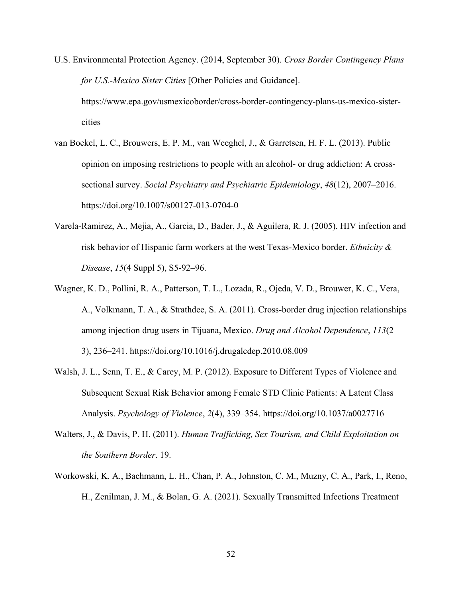- U.S. Environmental Protection Agency. (2014, September 30). *Cross Border Contingency Plans for U.S.-Mexico Sister Cities* [Other Policies and Guidance]. https://www.epa.gov/usmexicoborder/cross-border-contingency-plans-us-mexico-sistercities
- van Boekel, L. C., Brouwers, E. P. M., van Weeghel, J., & Garretsen, H. F. L. (2013). Public opinion on imposing restrictions to people with an alcohol- or drug addiction: A crosssectional survey. *Social Psychiatry and Psychiatric Epidemiology*, *48*(12), 2007–2016. https://doi.org/10.1007/s00127-013-0704-0
- Varela-Ramirez, A., Mejia, A., Garcia, D., Bader, J., & Aguilera, R. J. (2005). HIV infection and risk behavior of Hispanic farm workers at the west Texas-Mexico border. *Ethnicity & Disease*, *15*(4 Suppl 5), S5-92–96.
- Wagner, K. D., Pollini, R. A., Patterson, T. L., Lozada, R., Ojeda, V. D., Brouwer, K. C., Vera, A., Volkmann, T. A., & Strathdee, S. A. (2011). Cross-border drug injection relationships among injection drug users in Tijuana, Mexico. *Drug and Alcohol Dependence*, *113*(2– 3), 236–241. https://doi.org/10.1016/j.drugalcdep.2010.08.009
- Walsh, J. L., Senn, T. E., & Carey, M. P. (2012). Exposure to Different Types of Violence and Subsequent Sexual Risk Behavior among Female STD Clinic Patients: A Latent Class Analysis. *Psychology of Violence*, *2*(4), 339–354. https://doi.org/10.1037/a0027716
- Walters, J., & Davis, P. H. (2011). *Human Trafficking, Sex Tourism, and Child Exploitation on the Southern Border*. 19.
- Workowski, K. A., Bachmann, L. H., Chan, P. A., Johnston, C. M., Muzny, C. A., Park, I., Reno, H., Zenilman, J. M., & Bolan, G. A. (2021). Sexually Transmitted Infections Treatment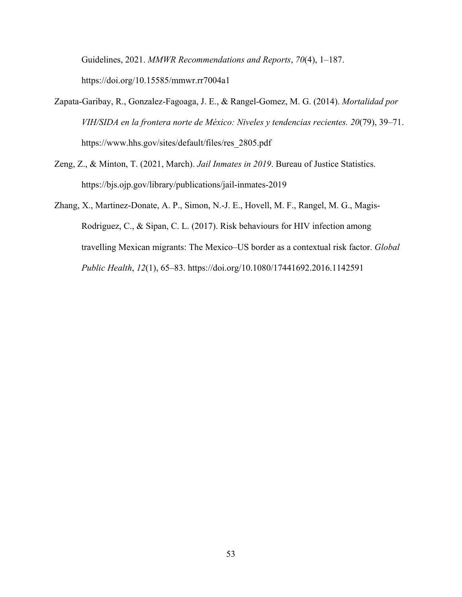Guidelines, 2021. *MMWR Recommendations and Reports*, *70*(4), 1–187. https://doi.org/10.15585/mmwr.rr7004a1

- Zapata-Garibay, R., Gonzalez-Fagoaga, J. E., & Rangel-Gomez, M. G. (2014). *Mortalidad por VIH/SIDA en la frontera norte de México: Niveles y tendencias recientes. 20*(79), 39–71. https://www.hhs.gov/sites/default/files/res\_2805.pdf
- Zeng, Z., & Minton, T. (2021, March). *Jail Inmates in 2019*. Bureau of Justice Statistics. https://bjs.ojp.gov/library/publications/jail-inmates-2019
- Zhang, X., Martinez-Donate, A. P., Simon, N.-J. E., Hovell, M. F., Rangel, M. G., Magis-Rodriguez, C., & Sipan, C. L. (2017). Risk behaviours for HIV infection among travelling Mexican migrants: The Mexico–US border as a contextual risk factor. *Global Public Health*, *12*(1), 65–83. https://doi.org/10.1080/17441692.2016.1142591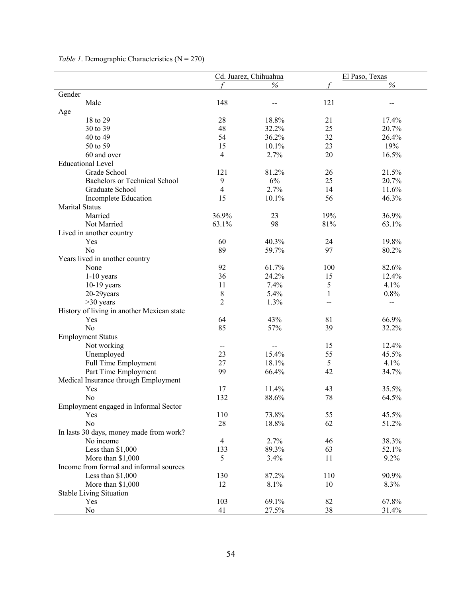|                                            |                          | Cd. Juarez, Chihuahua | El Paso, Texas |               |
|--------------------------------------------|--------------------------|-----------------------|----------------|---------------|
|                                            |                          | $\%$                  |                | $\frac{6}{6}$ |
| Gender                                     |                          |                       |                |               |
| Male                                       | 148                      | $-$                   | 121            | --            |
| Age                                        |                          |                       |                |               |
| 18 to 29                                   | 28                       | 18.8%                 | 21             | 17.4%         |
| 30 to 39                                   | 48                       | 32.2%                 | 25             | 20.7%         |
| 40 to 49                                   | 54                       | 36.2%                 | 32             | 26.4%         |
| 50 to 59                                   | 15                       | 10.1%                 | 23             | 19%           |
| 60 and over                                | $\overline{4}$           | 2.7%                  | 20             | 16.5%         |
| <b>Educational Level</b>                   |                          |                       |                |               |
| Grade School                               | 121                      | 81.2%                 | 26             | 21.5%         |
| <b>Bachelors or Technical School</b>       | 9                        | 6%                    | 25             | 20.7%         |
| Graduate School                            | $\overline{\mathcal{A}}$ | 2.7%                  | 14             | 11.6%         |
| Incomplete Education                       | 15                       | 10.1%                 | 56             | 46.3%         |
| <b>Marital Status</b>                      |                          |                       |                |               |
| Married                                    | 36.9%                    | 23                    | 19%            | 36.9%         |
| Not Married                                | 63.1%                    | 98                    | 81%            | 63.1%         |
| Lived in another country                   |                          |                       |                |               |
| Yes                                        | 60                       | 40.3%                 | 24             | 19.8%         |
| N <sub>o</sub>                             | 89                       | 59.7%                 | 97             | 80.2%         |
| Years lived in another country             |                          |                       |                |               |
| None                                       | 92                       | 61.7%                 | 100            | 82.6%         |
| $1-10$ years                               | 36                       | 24.2%                 | 15             | 12.4%         |
| $10-19$ years                              | 11                       | 7.4%                  | 5              | 4.1%          |
| 20-29years                                 | $\,$ $\,$                | 5.4%                  | 1              | 0.8%          |
| $>30$ years                                | $\overline{2}$           | 1.3%                  | --             | $- -$         |
| History of living in another Mexican state |                          |                       |                |               |
| Yes                                        | 64                       | 43%                   | 81             | 66.9%         |
| N <sub>o</sub>                             | 85                       | 57%                   | 39             | 32.2%         |
| <b>Employment Status</b>                   |                          |                       |                |               |
| Not working                                | $-$                      |                       | 15             | 12.4%         |
| Unemployed                                 | 23                       | 15.4%                 | 55             | 45.5%         |
| Full Time Employment                       | 27                       | 18.1%                 | 5              | 4.1%          |
| Part Time Employment                       | 99                       | 66.4%                 | 42             | 34.7%         |
| Medical Insurance through Employment       |                          |                       |                |               |
| Yes                                        | 17                       | 11.4%                 | 43             | 35.5%         |
| N <sub>o</sub>                             | 132                      | 88.6%                 | 78             | 64.5%         |
| Employment engaged in Informal Sector      |                          |                       |                |               |
| Yes                                        | 110                      | 73.8%                 | 55             | 45.5%         |
| N <sub>o</sub>                             | 28                       | 18.8%                 | 62             | 51.2%         |
| In lasts 30 days, money made from work?    |                          |                       |                |               |
| No income                                  | $\overline{4}$           | 2.7%                  | 46             | 38.3%         |
| Less than $$1,000$                         | 133                      | 89.3%                 | 63             | 52.1%         |
| More than \$1,000                          | 5                        | 3.4%                  | 11             | 9.2%          |
| Income from formal and informal sources    |                          |                       |                |               |
| Less than \$1,000                          | 130                      | 87.2%                 | 110            | 90.9%         |
| More than \$1,000                          | 12                       | 8.1%                  | 10             | 8.3%          |
| <b>Stable Living Situation</b>             |                          |                       |                |               |
| Yes                                        | 103                      | 69.1%                 | 82             | 67.8%         |
| No                                         | 41                       | 27.5%                 | 38             | 31.4%         |

# *Table 1*. Demographic Characteristics (N = 270)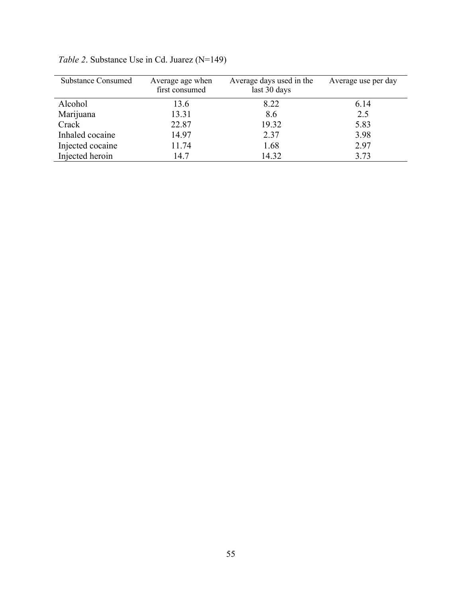| <b>Substance Consumed</b> | Average age when<br>first consumed | Average days used in the<br>last 30 days | Average use per day |
|---------------------------|------------------------------------|------------------------------------------|---------------------|
| Alcohol                   | 13.6                               | 8.22                                     | 6.14                |
| Marijuana                 | 13.31                              | 8.6                                      | 2.5                 |
| Crack                     | 22.87                              | 19.32                                    | 5.83                |
| Inhaled cocaine           | 14.97                              | 2.37                                     | 3.98                |
| Injected cocaine          | 11.74                              | 1.68                                     | 2.97                |
| Injected heroin           | 14.7                               | 14.32                                    | 3.73                |

*Table 2*. Substance Use in Cd. Juarez (N=149)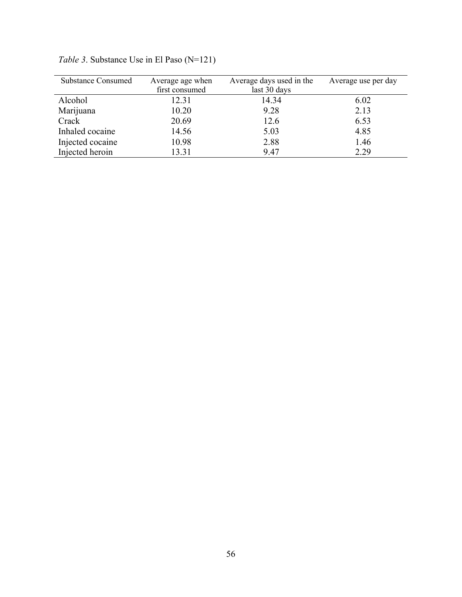| <b>Substance Consumed</b> | Average age when | Average days used in the | Average use per day |
|---------------------------|------------------|--------------------------|---------------------|
|                           | first consumed   | last 30 days             |                     |
| Alcohol                   | 12.31            | 14.34                    | 6.02                |
| Marijuana                 | 10.20            | 9.28                     | 2.13                |
| Crack                     | 20.69            | 12.6                     | 6.53                |
| Inhaled cocaine           | 14.56            | 5.03                     | 4.85                |
| Injected cocaine          | 10.98            | 2.88                     | 1.46                |
| Injected heroin           | 13.31            | 9.47                     | 2.29                |

*Table 3*. Substance Use in El Paso (N=121)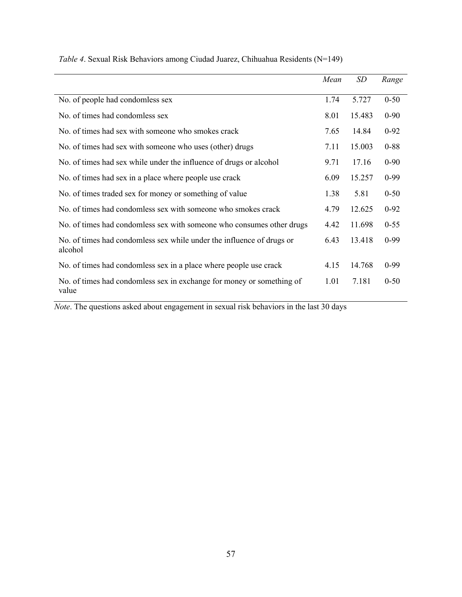|                                                                                  | Mean | SD     | Range    |
|----------------------------------------------------------------------------------|------|--------|----------|
|                                                                                  |      |        |          |
| No. of people had condomless sex                                                 | 1.74 | 5.727  | $0 - 50$ |
| No. of times had condomless sex                                                  | 8.01 | 15.483 | $0 - 90$ |
| No. of times had sex with someone who smokes crack                               | 7.65 | 14.84  | $0 - 92$ |
| No. of times had sex with someone who uses (other) drugs                         | 7.11 | 15.003 | $0 - 88$ |
| No. of times had sex while under the influence of drugs or alcohol               | 9.71 | 17.16  | $0 - 90$ |
| No. of times had sex in a place where people use crack                           | 6.09 | 15.257 | $0-99$   |
| No. of times traded sex for money or something of value                          | 1.38 | 5.81   | $0 - 50$ |
| No. of times had condomless sex with someone who smokes crack                    | 4.79 | 12.625 | $0 - 92$ |
| No. of times had condomless sex with someone who consumes other drugs            | 4.42 | 11.698 | $0 - 55$ |
| No. of times had condomless sex while under the influence of drugs or<br>alcohol | 6.43 | 13.418 | $0-99$   |
| No. of times had condomless sex in a place where people use crack                | 4.15 | 14.768 | $0-99$   |
| No. of times had condomless sex in exchange for money or something of<br>value   | 1.01 | 7.181  | $0 - 50$ |

*Table 4*. Sexual Risk Behaviors among Ciudad Juarez, Chihuahua Residents (N=149)

*Note*. The questions asked about engagement in sexual risk behaviors in the last 30 days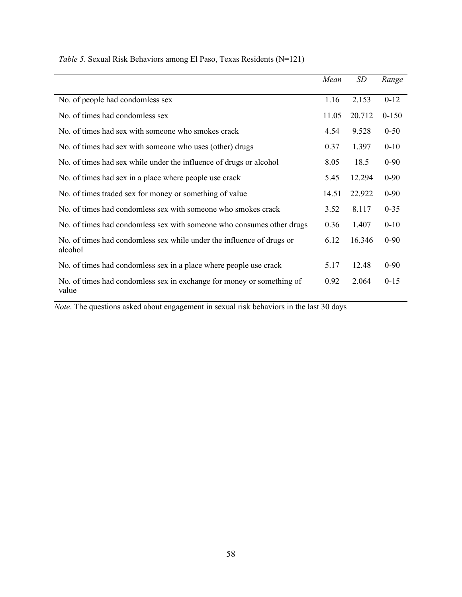|                                                                                  | Mean  | SD     | Range     |
|----------------------------------------------------------------------------------|-------|--------|-----------|
| No. of people had condomless sex                                                 | 1.16  | 2.153  | $0-12$    |
| No. of times had condomless sex                                                  | 11.05 | 20.712 | $0 - 150$ |
| No. of times had sex with someone who smokes crack                               | 4.54  | 9.528  | $0 - 50$  |
| No. of times had sex with someone who uses (other) drugs                         | 0.37  | 1.397  | $0 - 10$  |
| No. of times had sex while under the influence of drugs or alcohol               | 8.05  | 18.5   | $0 - 90$  |
| No. of times had sex in a place where people use crack                           | 5.45  | 12.294 | $0 - 90$  |
| No. of times traded sex for money or something of value                          | 14.51 | 22.922 | $0 - 90$  |
| No. of times had condomless sex with someone who smokes crack                    | 3.52  | 8.117  | $0 - 35$  |
| No. of times had condomless sex with someone who consumes other drugs            | 0.36  | 1.407  | $0 - 10$  |
| No. of times had condomless sex while under the influence of drugs or<br>alcohol | 6.12  | 16.346 | $0 - 90$  |
| No. of times had condomless sex in a place where people use crack                | 5.17  | 12.48  | $0 - 90$  |
| No. of times had condomless sex in exchange for money or something of<br>value   | 0.92  | 2.064  | $0 - 15$  |

# *Table 5*. Sexual Risk Behaviors among El Paso, Texas Residents (N=121)

*Note*. The questions asked about engagement in sexual risk behaviors in the last 30 days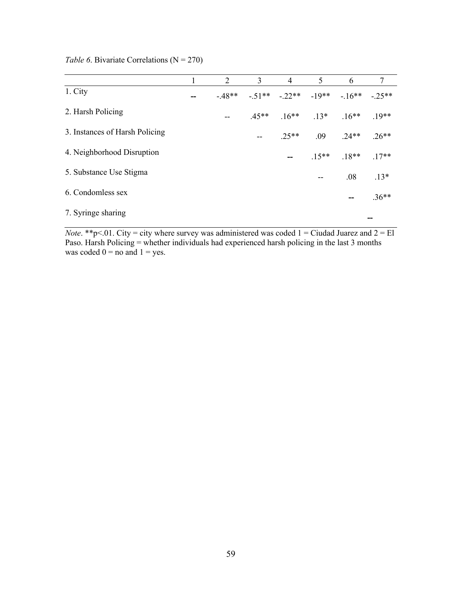|                                | 2       | 3       | 4                                   | 5               | 6       | $7\overline{ }$ |
|--------------------------------|---------|---------|-------------------------------------|-----------------|---------|-----------------|
| 1. City                        | $-48**$ |         | $-51***$ $-22***$ $-19***$ $-16***$ |                 |         | $-25**$         |
| 2. Harsh Policing              | --      | $.45**$ |                                     | $.16***$ $.13*$ | $.16**$ | $.19**$         |
| 3. Instances of Harsh Policing |         |         | $.25**$                             | .09             | $.24**$ | $.26**$         |
| 4. Neighborhood Disruption     |         |         | $\overline{\phantom{a}}$            | $.15***$        | $.18**$ | $.17**$         |
| 5. Substance Use Stigma        |         |         |                                     |                 | .08     | $.13*$          |
| 6. Condomless sex              |         |         |                                     |                 | --      | $.36**$         |
| 7. Syringe sharing             |         |         |                                     |                 |         | --              |

### *Table 6.* Bivariate Correlations (N = 270)

*Note*. \*\*p<.01. City = city where survey was administered was coded  $1 =$  Ciudad Juarez and  $2 =$  El Paso. Harsh Policing = whether individuals had experienced harsh policing in the last 3 months was coded  $0 =$  no and  $1 =$  yes.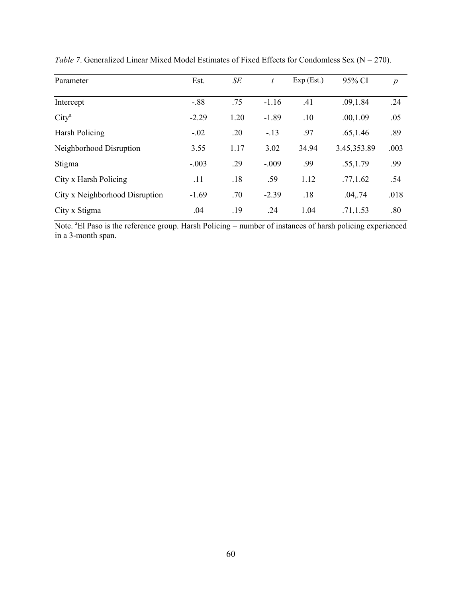| Parameter                      | Est.    | SE   | t       | Exp (Est.) | 95% CI       | $\boldsymbol{p}$ |
|--------------------------------|---------|------|---------|------------|--------------|------------------|
| Intercept                      | $-0.88$ | .75  | $-1.16$ | .41        | .09, 1.84    | .24              |
| City <sup>a</sup>              | $-2.29$ | 1.20 | $-1.89$ | .10        | .00, 1.09    | .05              |
| Harsh Policing                 | $-.02$  | .20  | $-.13$  | .97        | .65, 1.46    | .89              |
| Neighborhood Disruption        | 3.55    | 1.17 | 3.02    | 34.94      | 3.45, 353.89 | .003             |
| Stigma                         | $-.003$ | .29  | $-.009$ | .99        | .55, 1.79    | .99              |
| City x Harsh Policing          | .11     | .18  | .59     | 1.12       | .77, 1.62    | .54              |
| City x Neighborhood Disruption | $-1.69$ | .70  | $-2.39$ | .18        | .04, .74     | .018             |
| City x Stigma                  | .04     | .19  | .24     | 1.04       | .71, 1.53    | .80              |

*Table 7.* Generalized Linear Mixed Model Estimates of Fixed Effects for Condomless Sex ( $N = 270$ ).

Note. <sup>a</sup>El Paso is the reference group. Harsh Policing = number of instances of harsh policing experienced in a 3-month span.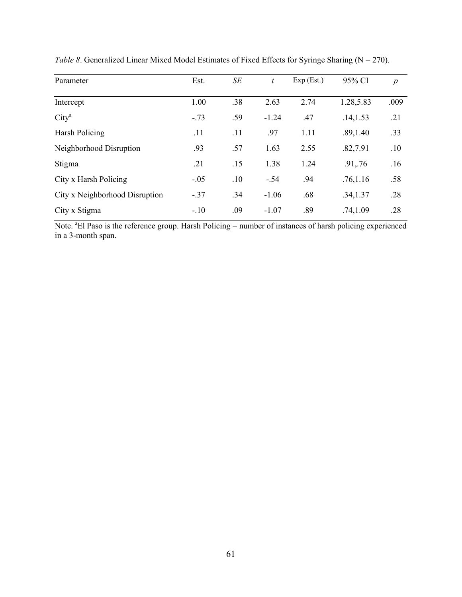| Parameter                      | Est.   | SE  | $\boldsymbol{t}$ | Exp (Est.) | 95% CI    | $\boldsymbol{p}$ |
|--------------------------------|--------|-----|------------------|------------|-----------|------------------|
| Intercept                      | 1.00   | .38 | 2.63             | 2.74       | 1.28,5.83 | .009             |
| City <sup>a</sup>              | $-.73$ | .59 | $-1.24$          | .47        | .14, 1.53 | .21              |
| Harsh Policing                 | .11    | .11 | .97              | 1.11       | .89, 1.40 | .33              |
| Neighborhood Disruption        | .93    | .57 | 1.63             | 2.55       | .82,7.91  | .10              |
| Stigma                         | .21    | .15 | 1.38             | 1.24       | .91,.76   | .16              |
| City x Harsh Policing          | $-.05$ | .10 | $-.54$           | .94        | .76, 1.16 | .58              |
| City x Neighborhood Disruption | $-.37$ | .34 | $-1.06$          | .68        | .34,1.37  | .28              |
| City x Stigma                  | $-.10$ | .09 | $-1.07$          | .89        | .74, 1.09 | .28              |

*Table 8*. Generalized Linear Mixed Model Estimates of Fixed Effects for Syringe Sharing (N = 270).

Note. <sup>a</sup>El Paso is the reference group. Harsh Policing = number of instances of harsh policing experienced in a 3-month span.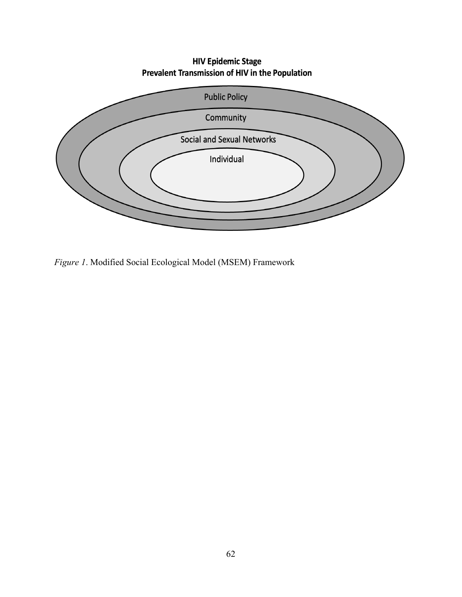# **HIV Epidemic Stage** Prevalent Transmission of HIV in the Population



*Figure 1*. Modified Social Ecological Model (MSEM) Framework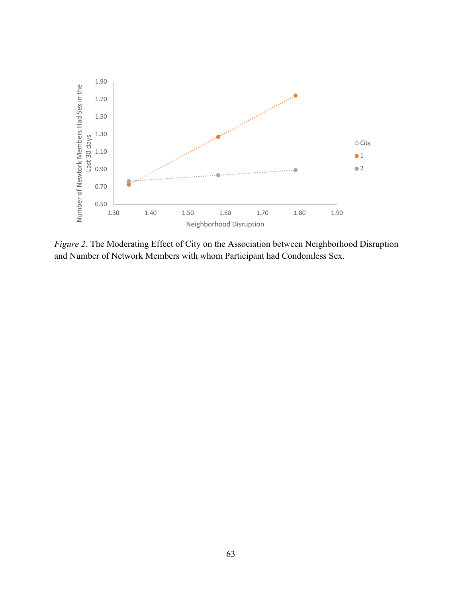

*Figure 2*. The Moderating Effect of City on the Association between Neighborhood Disruption and Number of Network Members with whom Participant had Condomless Sex.